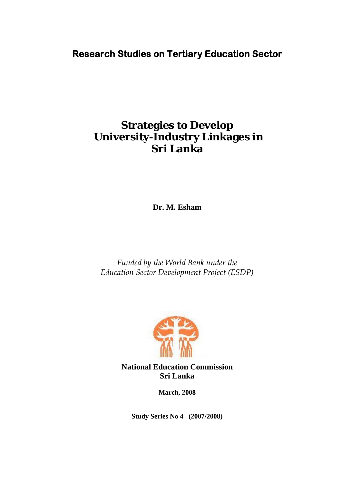# **Research Studies on Tertiary Education Sector**

# **Strategies to Develop University-Industry Linkages in Sri Lanka**

**Dr. M. Esham** 

*Funded by the World Bank under the Education Sector Development Project (ESDP)* 



**National Education Commission Sri Lanka** 

**March, 2008** 

**Study Series No 4 (2007/2008)**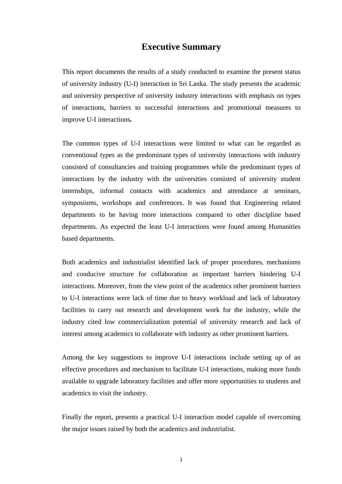## **Executive Summary**

This report documents the results of a study conducted to examine the present status of university industry (U-I) interaction in Sri Lanka. The study presents the academic and university perspective of university industry interactions with emphasis on types of interactions, barriers to successful interactions and promotional measures to improve U-I interactions**.** 

The common types of U-I interactions were limited to what can be regarded as conventional types as the predominant types of university interactions with industry consisted of consultancies and training programmes while the predominant types of interactions by the industry with the universities consisted of university student internships, informal contacts with academics and attendance at seminars, symposiums, workshops and conferences. It was found that Engineering related departments to be having more interactions compared to other discipline based departments. As expected the least U-I interactions were found among Humanities based departments.

Both academics and industrialist identified lack of proper procedures, mechanisms and conducive structure for collaboration as important barriers hindering U-I interactions. Moreover, from the view point of the academics other prominent barriers to U-I interactions were lack of time due to heavy workload and lack of laboratory facilities to carry out research and development work for the industry, while the industry cited low commercialization potential of university research and lack of interest among academics to collaborate with industry as other prominent barriers.

Among the key suggestions to improve U-I interactions include setting up of an effective procedures and mechanism to facilitate U-I interactions, making more funds available to upgrade laboratory facilities and offer more opportunities to students and academics to visit the industry.

Finally the report, presents a practical U-I interaction model capable of overcoming the major issues raised by both the academics and industrialist.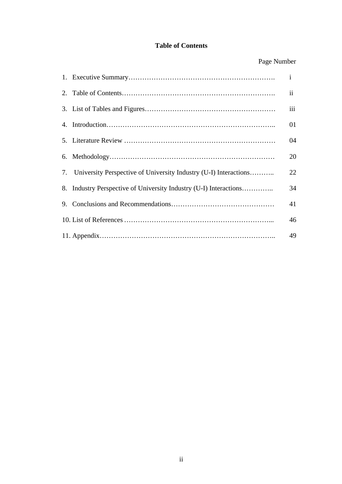## **Table of Contents**

# Page Number

|                                                                     | $\mathbf{i}$ |
|---------------------------------------------------------------------|--------------|
|                                                                     | ii           |
|                                                                     | iii          |
|                                                                     | 01           |
|                                                                     | 04           |
|                                                                     | 20           |
| 7. University Perspective of University Industry (U-I) Interactions | 22           |
| 8. Industry Perspective of University Industry (U-I) Interactions   | 34           |
|                                                                     | 41           |
|                                                                     | 46           |
|                                                                     | 49           |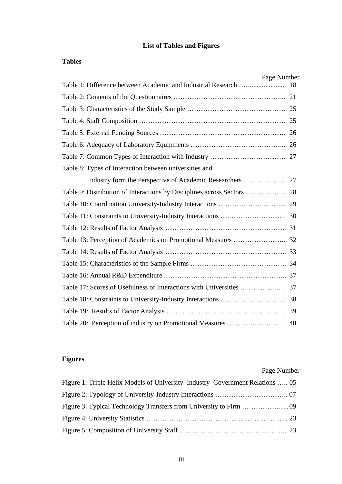## **List of Tables and Figures**

## **Tables**

| Page Number                                                  |  |
|--------------------------------------------------------------|--|
|                                                              |  |
|                                                              |  |
|                                                              |  |
|                                                              |  |
|                                                              |  |
|                                                              |  |
|                                                              |  |
| Table 8: Types of Interaction between universities and       |  |
|                                                              |  |
|                                                              |  |
|                                                              |  |
|                                                              |  |
|                                                              |  |
|                                                              |  |
|                                                              |  |
|                                                              |  |
|                                                              |  |
|                                                              |  |
|                                                              |  |
|                                                              |  |
| Table 20: Perception of industry on Promotional Measures  40 |  |

## **Figures**

|                                                                               | Page Number |
|-------------------------------------------------------------------------------|-------------|
| Figure 1: Triple Helix Models of University–Industry–Government Relations  05 |             |
|                                                                               |             |
|                                                                               |             |
|                                                                               |             |
|                                                                               |             |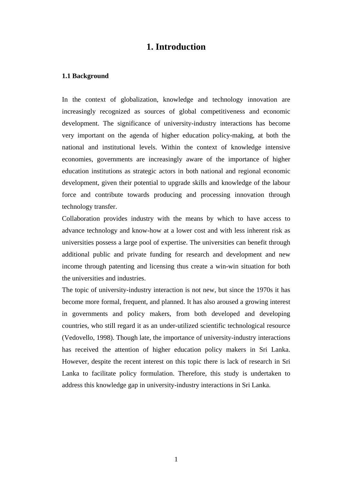## **1. Introduction**

### **1.1 Background**

In the context of globalization, knowledge and technology innovation are increasingly recognized as sources of global competitiveness and economic development. The significance of university-industry interactions has become very important on the agenda of higher education policy-making, at both the national and institutional levels. Within the context of knowledge intensive economies, governments are increasingly aware of the importance of higher education institutions as strategic actors in both national and regional economic development, given their potential to upgrade skills and knowledge of the labour force and contribute towards producing and processing innovation through technology transfer.

Collaboration provides industry with the means by which to have access to advance technology and know-how at a lower cost and with less inherent risk as universities possess a large pool of expertise. The universities can benefit through additional public and private funding for research and development and new income through patenting and licensing thus create a win-win situation for both the universities and industries.

The topic of university-industry interaction is not new, but since the 1970s it has become more formal, frequent, and planned. It has also aroused a growing interest in governments and policy makers, from both developed and developing countries, who still regard it as an under-utilized scientific technological resource (Vedovello, 1998). Though late, the importance of university-industry interactions has received the attention of higher education policy makers in Sri Lanka. However, despite the recent interest on this topic there is lack of research in Sri Lanka to facilitate policy formulation. Therefore, this study is undertaken to address this knowledge gap in university-industry interactions in Sri Lanka.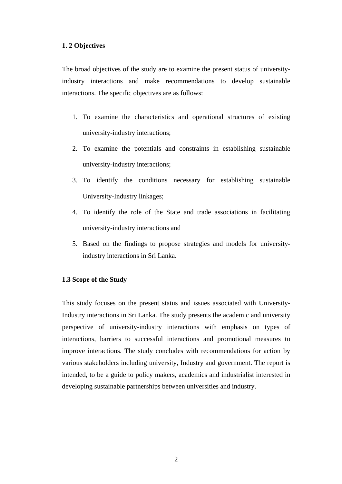### **1. 2 Objectives**

The broad objectives of the study are to examine the present status of universityindustry interactions and make recommendations to develop sustainable interactions. The specific objectives are as follows:

- 1. To examine the characteristics and operational structures of existing university-industry interactions;
- 2. To examine the potentials and constraints in establishing sustainable university-industry interactions;
- 3. To identify the conditions necessary for establishing sustainable University-Industry linkages;
- 4. To identify the role of the State and trade associations in facilitating university-industry interactions and
- 5. Based on the findings to propose strategies and models for universityindustry interactions in Sri Lanka.

### **1.3 Scope of the Study**

This study focuses on the present status and issues associated with University-Industry interactions in Sri Lanka. The study presents the academic and university perspective of university-industry interactions with emphasis on types of interactions, barriers to successful interactions and promotional measures to improve interactions. The study concludes with recommendations for action by various stakeholders including university, Industry and government. The report is intended, to be a guide to policy makers, academics and industrialist interested in developing sustainable partnerships between universities and industry.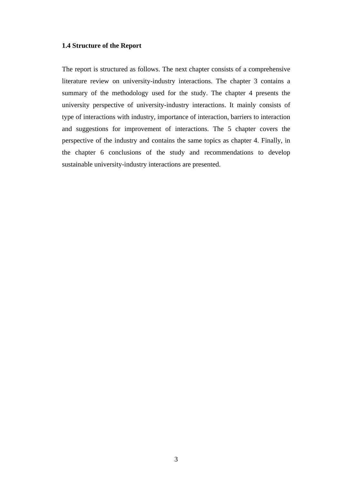### **1.4 Structure of the Report**

The report is structured as follows. The next chapter consists of a comprehensive literature review on university-industry interactions. The chapter 3 contains a summary of the methodology used for the study. The chapter 4 presents the university perspective of university-industry interactions. It mainly consists of type of interactions with industry, importance of interaction, barriers to interaction and suggestions for improvement of interactions. The 5 chapter covers the perspective of the industry and contains the same topics as chapter 4. Finally, in the chapter 6 conclusions of the study and recommendations to develop sustainable university-industry interactions are presented.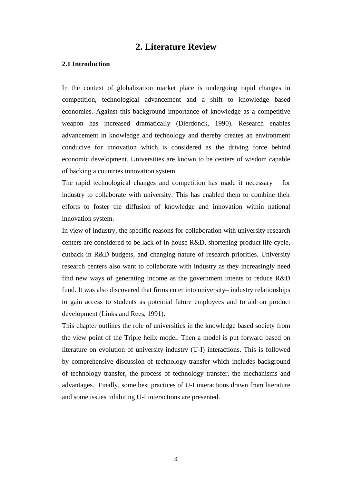## **2. Literature Review**

### **2.1 Introduction**

In the context of globalization market place is undergoing rapid changes in competition, technological advancement and a shift to knowledge based economies. Against this background importance of knowledge as a competitive weapon has increased dramatically (Dierdonck, 1990). Research enables advancement in knowledge and technology and thereby creates an environment conducive for innovation which is considered as the driving force behind economic development. Universities are known to be centers of wisdom capable of backing a countries innovation system.

The rapid technological changes and competition has made it necessary for industry to collaborate with university. This has enabled them to combine their efforts to foster the diffusion of knowledge and innovation within national innovation system.

In view of industry, the specific reasons for collaboration with university research centers are considered to be lack of in-house R&D, shortening product life cycle, cutback in R&D budgets, and changing nature of research priorities. University research centers also want to collaborate with industry as they increasingly need find new ways of generating income as the government intents to reduce R&D fund. It was also discovered that firms enter into university– industry relationships to gain access to students as potential future employees and to aid on product development (Links and Rees, 1991).

This chapter outlines the role of universities in the knowledge based society from the view point of the Triple helix model. Then a model is put forward based on literature on evolution of university-industry (U-I) interactions. This is followed by comprehensive discussion of technology transfer which includes background of technology transfer, the process of technology transfer, the mechanisms and advantages. Finally, some best practices of U-I interactions drawn from literature and some issues inhibiting U-I interactions are presented.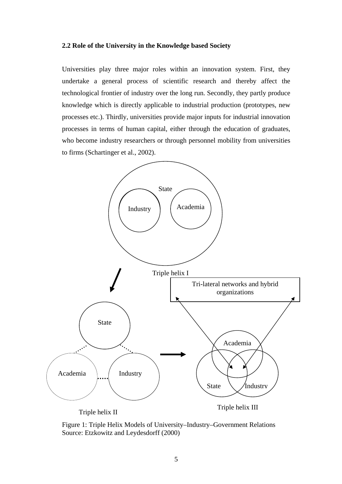### **2.2 Role of the University in the Knowledge based Society**

Universities play three major roles within an innovation system. First, they undertake a general process of scientific research and thereby affect the technological frontier of industry over the long run. Secondly, they partly produce knowledge which is directly applicable to industrial production (prototypes, new processes etc.). Thirdly, universities provide major inputs for industrial innovation processes in terms of human capital, either through the education of graduates, who become industry researchers or through personnel mobility from universities to firms (Schartinger et al., 2002).



Triple helix II

Triple helix III

Figure 1: Triple Helix Models of University–Industry–Government Relations Source: Etzkowitz and Leydesdorff (2000)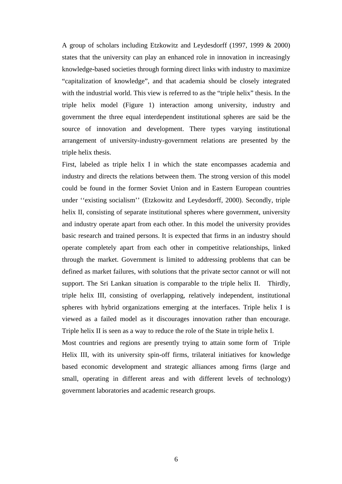A group of scholars including Etzkowitz and Leydesdorff (1997, 1999 & 2000) states that the university can play an enhanced role in innovation in increasingly knowledge-based societies through forming direct links with industry to maximize "capitalization of knowledge", and that academia should be closely integrated with the industrial world. This view is referred to as the "triple helix" thesis. In the triple helix model (Figure 1) interaction among university, industry and government the three equal interdependent institutional spheres are said be the source of innovation and development. There types varying institutional arrangement of university-industry-government relations are presented by the triple helix thesis.

First, labeled as triple helix I in which the state encompasses academia and industry and directs the relations between them. The strong version of this model could be found in the former Soviet Union and in Eastern European countries under ''existing socialism'' (Etzkowitz and Leydesdorff, 2000). Secondly, triple helix II, consisting of separate institutional spheres where government, university and industry operate apart from each other. In this model the university provides basic research and trained persons. It is expected that firms in an industry should operate completely apart from each other in competitive relationships, linked through the market. Government is limited to addressing problems that can be defined as market failures, with solutions that the private sector cannot or will not support. The Sri Lankan situation is comparable to the triple helix II. Thirdly, triple helix III, consisting of overlapping, relatively independent, institutional spheres with hybrid organizations emerging at the interfaces. Triple helix I is viewed as a failed model as it discourages innovation rather than encourage. Triple helix II is seen as a way to reduce the role of the State in triple helix I.

Most countries and regions are presently trying to attain some form of Triple Helix III, with its university spin-off firms, trilateral initiatives for knowledge based economic development and strategic alliances among firms (large and small, operating in different areas and with different levels of technology) government laboratories and academic research groups.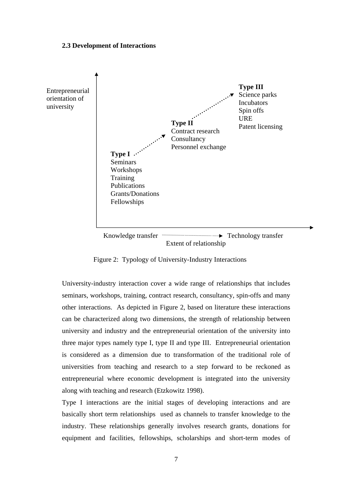### **2.3 Development of Interactions**



Figure 2: Typology of University-Industry Interactions

University-industry interaction cover a wide range of relationships that includes seminars, workshops, training, contract research, consultancy, spin-offs and many other interactions. As depicted in Figure 2, based on literature these interactions can be characterized along two dimensions, the strength of relationship between university and industry and the entrepreneurial orientation of the university into three major types namely type I, type II and type III. Entrepreneurial orientation is considered as a dimension due to transformation of the traditional role of universities from teaching and research to a step forward to be reckoned as entrepreneurial where economic development is integrated into the university along with teaching and research (Etzkowitz 1998).

Type I interactions are the initial stages of developing interactions and are basically short term relationships used as channels to transfer knowledge to the industry. These relationships generally involves research grants, donations for equipment and facilities, fellowships, scholarships and short-term modes of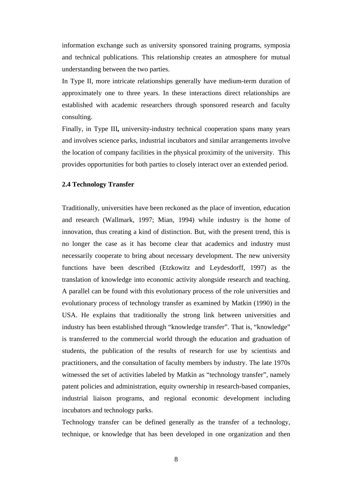information exchange such as university sponsored training programs, symposia and technical publications. This relationship creates an atmosphere for mutual understanding between the two parties.

In Type II, more intricate relationships generally have medium-term duration of approximately one to three years. In these interactions direct relationships are established with academic researchers through sponsored research and faculty consulting.

Finally, in Type III*,* university-industry technical cooperation spans many years and involves science parks, industrial incubators and similar arrangements involve the location of company facilities in the physical proximity of the university. This provides opportunities for both parties to closely interact over an extended period.

### **2.4 Technology Transfer**

Traditionally, universities have been reckoned as the place of invention, education and research (Wallmark, 1997; Mian, 1994) while industry is the home of innovation, thus creating a kind of distinction. But, with the present trend, this is no longer the case as it has become clear that academics and industry must necessarily cooperate to bring about necessary development. The new university functions have been described (Etzkowitz and Leydesdorff, 1997) as the translation of knowledge into economic activity alongside research and teaching. A parallel can be found with this evolutionary process of the role universities and evolutionary process of technology transfer as examined by Matkin (1990) in the USA. He explains that traditionally the strong link between universities and industry has been established through "knowledge transfer". That is, "knowledge" is transferred to the commercial world through the education and graduation of students, the publication of the results of research for use by scientists and practitioners, and the consultation of faculty members by industry. The late 1970s witnessed the set of activities labeled by Matkin as "technology transfer", namely patent policies and administration, equity ownership in research-based companies, industrial liaison programs, and regional economic development including incubators and technology parks.

Technology transfer can be defined generally as the transfer of a technology, technique, or knowledge that has been developed in one organization and then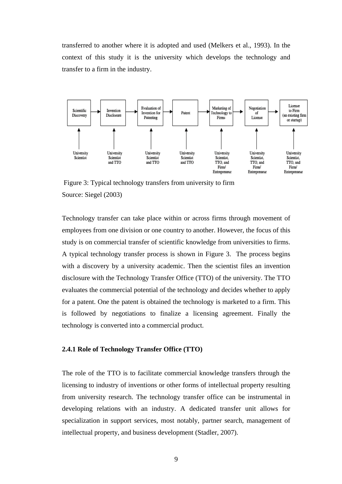transferred to another where it is adopted and used (Melkers et al., 1993). In the context of this study it is the university which develops the technology and transfer to a firm in the industry.



 Figure 3: Typical technology transfers from university to firm Source: Siegel (2003)

Technology transfer can take place within or across firms through movement of employees from one division or one country to another. However, the focus of this study is on commercial transfer of scientific knowledge from universities to firms. A typical technology transfer process is shown in Figure 3. The process begins with a discovery by a university academic. Then the scientist files an invention disclosure with the Technology Transfer Office (TTO) of the university. The TTO evaluates the commercial potential of the technology and decides whether to apply for a patent. One the patent is obtained the technology is marketed to a firm. This is followed by negotiations to finalize a licensing agreement. Finally the technology is converted into a commercial product.

### **2.4.1 Role of Technology Transfer Office (TTO)**

The role of the TTO is to facilitate commercial knowledge transfers through the licensing to industry of inventions or other forms of intellectual property resulting from university research. The technology transfer office can be instrumental in developing relations with an industry. A dedicated transfer unit allows for specialization in support services, most notably, partner search, management of intellectual property, and business development (Stadler, 2007).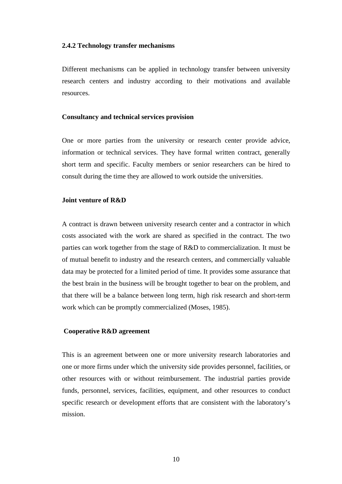### **2.4.2 Technology transfer mechanisms**

Different mechanisms can be applied in technology transfer between university research centers and industry according to their motivations and available resources.

### **Consultancy and technical services provision**

One or more parties from the university or research center provide advice, information or technical services. They have formal written contract, generally short term and specific. Faculty members or senior researchers can be hired to consult during the time they are allowed to work outside the universities.

### **Joint venture of R&D**

A contract is drawn between university research center and a contractor in which costs associated with the work are shared as specified in the contract. The two parties can work together from the stage of R&D to commercialization. It must be of mutual benefit to industry and the research centers, and commercially valuable data may be protected for a limited period of time. It provides some assurance that the best brain in the business will be brought together to bear on the problem, and that there will be a balance between long term, high risk research and short-term work which can be promptly commercialized (Moses, 1985).

### **Cooperative R&D agreement**

This is an agreement between one or more university research laboratories and one or more firms under which the university side provides personnel, facilities, or other resources with or without reimbursement. The industrial parties provide funds, personnel, services, facilities, equipment, and other resources to conduct specific research or development efforts that are consistent with the laboratory's mission.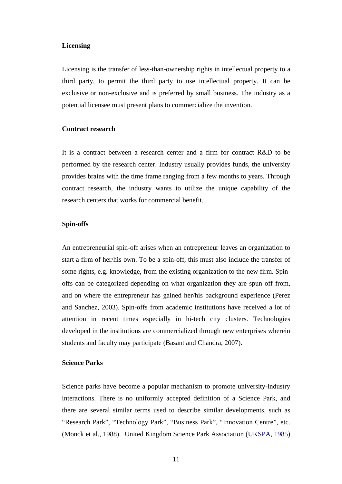### **Licensing**

Licensing is the transfer of less-than-ownership rights in intellectual property to a third party, to permit the third party to use intellectual property. It can be exclusive or non-exclusive and is preferred by small business. The industry as a potential licensee must present plans to commercialize the invention.

### **Contract research**

It is a contract between a research center and a firm for contract R&D to be performed by the research center. Industry usually provides funds, the university provides brains with the time frame ranging from a few months to years. Through contract research, the industry wants to utilize the unique capability of the research centers that works for commercial benefit.

### **Spin-offs**

An entrepreneurial spin-off arises when an entrepreneur leaves an organization to start a firm of her/his own. To be a spin-off, this must also include the transfer of some rights, e.g. knowledge, from the existing organization to the new firm. Spinoffs can be categorized depending on what organization they are spun off from, and on where the entrepreneur has gained her/his background experience (Perez and Sanchez, 2003). Spin-offs from academic institutions have received a lot of attention in recent times especially in hi-tech city clusters. Technologies developed in the institutions are commercialized through new enterprises wherein students and faculty may participate (Basant and Chandra, 2007).

### **Science Parks**

Science parks have become a popular mechanism to promote university-industry interactions. There is no uniformly accepted definition of a Science Park, and there are several similar terms used to describe similar developments, such as "Research Park", "Technology Park", "Business Park", "Innovation Centre", etc. (Monck et al., 1988). United Kingdom Science Park Association (UKSPA, 1985)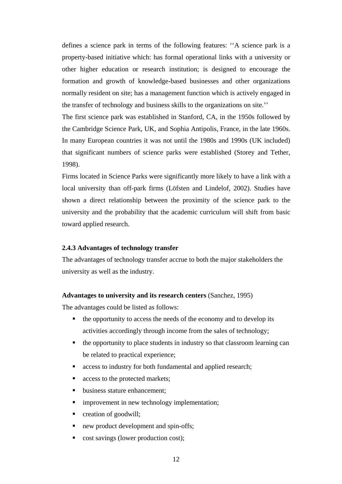defines a science park in terms of the following features: ''A science park is a property-based initiative which: has formal operational links with a university or other higher education or research institution; is designed to encourage the formation and growth of knowledge-based businesses and other organizations normally resident on site; has a management function which is actively engaged in the transfer of technology and business skills to the organizations on site.''

The first science park was established in Stanford, CA, in the 1950s followed by the Cambridge Science Park, UK, and Sophia Antipolis, France, in the late 1960s. In many European countries it was not until the 1980s and 1990s (UK included) that significant numbers of science parks were established (Storey and Tether, 1998).

Firms located in Science Parks were significantly more likely to have a link with a local university than off-park firms (Löfsten and Lindelof, 2002). Studies have shown a direct relationship between the proximity of the science park to the university and the probability that the academic curriculum will shift from basic toward applied research.

### **2.4.3 Advantages of technology transfer**

The advantages of technology transfer accrue to both the major stakeholders the university as well as the industry.

### **Advantages to university and its research centers** (Sanchez, 1995)

The advantages could be listed as follows:

- the opportunity to access the needs of the economy and to develop its activities accordingly through income from the sales of technology;
- the opportunity to place students in industry so that classroom learning can be related to practical experience;
- access to industry for both fundamental and applied research;
- **access to the protected markets;**
- business stature enhancement:
- improvement in new technology implementation;
- **•** creation of goodwill;
- new product development and spin-offs;
- cost savings (lower production cost);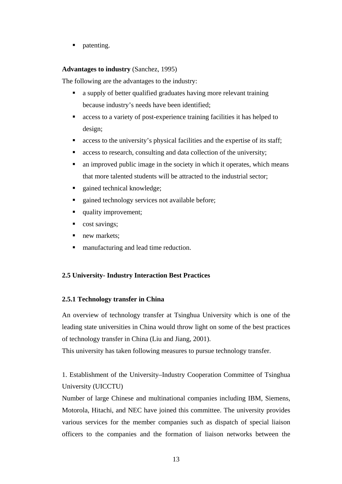**patenting.** 

### **Advantages to industry** (Sanchez, 1995)

The following are the advantages to the industry:

- a supply of better qualified graduates having more relevant training because industry's needs have been identified;
- access to a variety of post-experience training facilities it has helped to design;
- access to the university's physical facilities and the expertise of its staff;
- access to research, consulting and data collection of the university;
- an improved public image in the society in which it operates, which means that more talented students will be attracted to the industrial sector;
- gained technical knowledge;
- gained technology services not available before;
- quality improvement;
- cost savings;
- new markets;
- manufacturing and lead time reduction.

## **2.5 University- Industry Interaction Best Practices**

## **2.5.1 Technology transfer in China**

An overview of technology transfer at Tsinghua University which is one of the leading state universities in China would throw light on some of the best practices of technology transfer in China (Liu and Jiang, 2001).

This university has taken following measures to pursue technology transfer.

1. Establishment of the University–Industry Cooperation Committee of Tsinghua University (UICCTU)

Number of large Chinese and multinational companies including IBM, Siemens, Motorola, Hitachi, and NEC have joined this committee. The university provides various services for the member companies such as dispatch of special liaison officers to the companies and the formation of liaison networks between the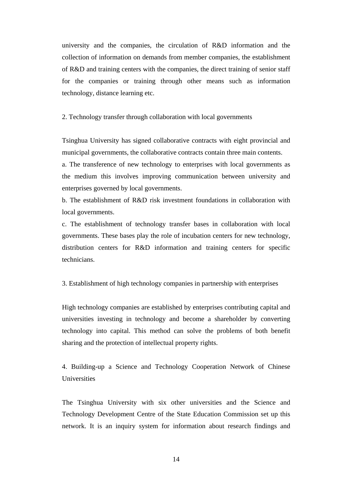university and the companies, the circulation of R&D information and the collection of information on demands from member companies, the establishment of R&D and training centers with the companies, the direct training of senior staff for the companies or training through other means such as information technology, distance learning etc.

2. Technology transfer through collaboration with local governments

Tsinghua University has signed collaborative contracts with eight provincial and municipal governments, the collaborative contracts contain three main contents.

a. The transference of new technology to enterprises with local governments as the medium this involves improving communication between university and enterprises governed by local governments.

b. The establishment of R&D risk investment foundations in collaboration with local governments.

c. The establishment of technology transfer bases in collaboration with local governments. These bases play the role of incubation centers for new technology, distribution centers for R&D information and training centers for specific technicians.

3. Establishment of high technology companies in partnership with enterprises

High technology companies are established by enterprises contributing capital and universities investing in technology and become a shareholder by converting technology into capital. This method can solve the problems of both benefit sharing and the protection of intellectual property rights.

4. Building-up a Science and Technology Cooperation Network of Chinese Universities

The Tsinghua University with six other universities and the Science and Technology Development Centre of the State Education Commission set up this network. It is an inquiry system for information about research findings and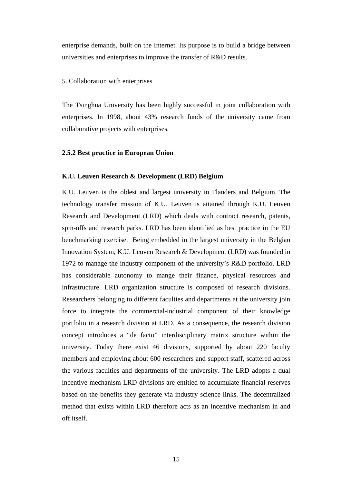enterprise demands, built on the Internet. Its purpose is to build a bridge between universities and enterprises to improve the transfer of R&D results.

### 5. Collaboration with enterprises

The Tsinghua University has been highly successful in joint collaboration with enterprises. In 1998, about 43% research funds of the university came from collaborative projects with enterprises.

### **2.5.2 Best practice in European Union**

### **K.U. Leuven Research & Development (LRD) Belgium**

K.U. Leuven is the oldest and largest university in Flanders and Belgium. The technology transfer mission of K.U. Leuven is attained through K.U. Leuven Research and Development (LRD) which deals with contract research, patents, spin-offs and research parks. LRD has been identified as best practice in the EU benchmarking exercise. Being embedded in the largest university in the Belgian Innovation System, K.U. Leuven Research & Development (LRD) was founded in 1972 to manage the industry component of the university's R&D portfolio. LRD has considerable autonomy to mange their finance, physical resources and infrastructure. LRD organization structure is composed of research divisions. Researchers belonging to different faculties and departments at the university join force to integrate the commercial-industrial component of their knowledge portfolio in a research division at LRD. As a consequence, the research division concept introduces a "de facto" interdisciplinary matrix structure within the university. Today there exist 46 divisions, supported by about 220 faculty members and employing about 600 researchers and support staff, scattered across the various faculties and departments of the university. The LRD adopts a dual incentive mechanism LRD divisions are entitled to accumulate financial reserves based on the benefits they generate via industry science links. The decentralized method that exists within LRD therefore acts as an incentive mechanism in and off itself.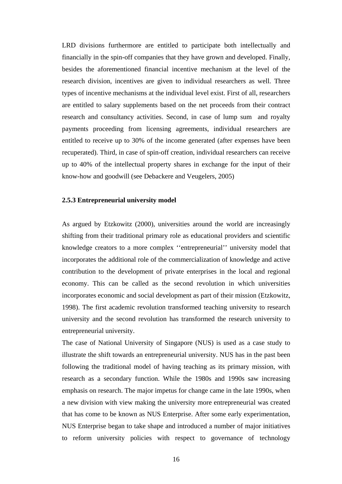LRD divisions furthermore are entitled to participate both intellectually and financially in the spin-off companies that they have grown and developed. Finally, besides the aforementioned financial incentive mechanism at the level of the research division, incentives are given to individual researchers as well. Three types of incentive mechanisms at the individual level exist. First of all, researchers are entitled to salary supplements based on the net proceeds from their contract research and consultancy activities. Second, in case of lump sum and royalty payments proceeding from licensing agreements, individual researchers are entitled to receive up to 30% of the income generated (after expenses have been recuperated). Third, in case of spin-off creation, individual researchers can receive up to 40% of the intellectual property shares in exchange for the input of their know-how and goodwill (see Debackere and Veugelers, 2005)

### **2.5.3 Entrepreneurial university model**

As argued by Etzkowitz (2000), universities around the world are increasingly shifting from their traditional primary role as educational providers and scientific knowledge creators to a more complex ''entrepreneurial'' university model that incorporates the additional role of the commercialization of knowledge and active contribution to the development of private enterprises in the local and regional economy. This can be called as the second revolution in which universities incorporates economic and social development as part of their mission (Etzkowitz, 1998). The first academic revolution transformed teaching university to research university and the second revolution has transformed the research university to entrepreneurial university.

The case of National University of Singapore (NUS) is used as a case study to illustrate the shift towards an entrepreneurial university. NUS has in the past been following the traditional model of having teaching as its primary mission, with research as a secondary function. While the 1980s and 1990s saw increasing emphasis on research. The major impetus for change came in the late 1990s, when a new division with view making the university more entrepreneurial was created that has come to be known as NUS Enterprise. After some early experimentation, NUS Enterprise began to take shape and introduced a number of major initiatives to reform university policies with respect to governance of technology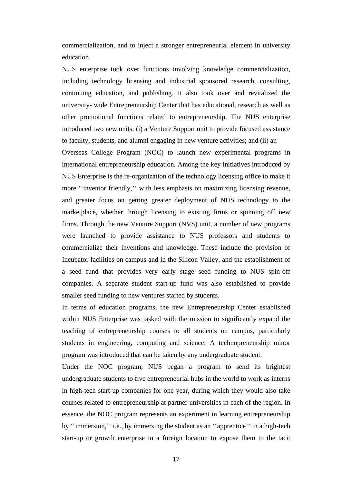commercialization, and to inject a stronger entrepreneurial element in university education.

NUS enterprise took over functions involving knowledge commercialization, including technology licensing and industrial sponsored research, consulting, continuing education, and publishing. It also took over and revitalized the university- wide Entrepreneurship Center that has educational, research as well as other promotional functions related to entrepreneurship. The NUS enterprise introduced two new units: (i) a Venture Support unit to provide focused assistance to faculty, students, and alumni engaging in new venture activities; and (ii) an

Overseas College Program (NOC) to launch new experimental programs in international entrepreneurship education. Among the key initiatives introduced by NUS Enterprise is the re-organization of the technology licensing office to make it more ''inventor friendly,'' with less emphasis on maximizing licensing revenue, and greater focus on getting greater deployment of NUS technology to the marketplace, whether through licensing to existing firms or spinning off new firms. Through the new Venture Support (NVS) unit, a number of new programs were launched to provide assistance to NUS professors and students to commercialize their inventions and knowledge. These include the provision of Incubator facilities on campus and in the Silicon Valley, and the establishment of a seed fund that provides very early stage seed funding to NUS spin-off companies. A separate student start-up fund was also established to provide smaller seed funding to new ventures started by students.

In terms of education programs, the new Entrepreneurship Center established within NUS Enterprise was tasked with the mission to significantly expand the teaching of entrepreneurship courses to all students on campus, particularly students in engineering, computing and science. A technopreneurship minor program was introduced that can be taken by any undergraduate student.

Under the NOC program, NUS began a program to send its brightest undergraduate students to five entrepreneurial hubs in the world to work as interns in high-tech start-up companies for one year, during which they would also take courses related to entrepreneurship at partner universities in each of the region. In essence, the NOC program represents an experiment in learning entrepreneurship by ''immersion,'' i.e., by immersing the student as an ''apprentice'' in a high-tech start-up or growth enterprise in a foreign location to expose them to the tacit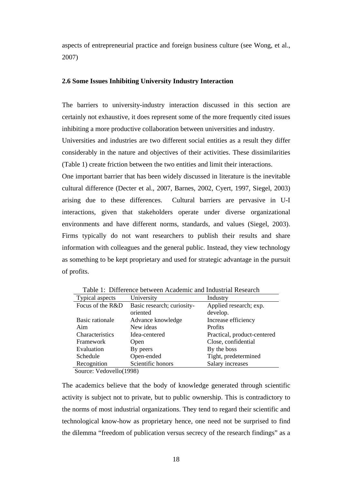aspects of entrepreneurial practice and foreign business culture (see Wong, et al., 2007)

### **2.6 Some Issues Inhibiting University Industry Interaction**

The barriers to university-industry interaction discussed in this section are certainly not exhaustive, it does represent some of the more frequently cited issues inhibiting a more productive collaboration between universities and industry.

Universities and industries are two different social entities as a result they differ considerably in the nature and objectives of their activities. These dissimilarities (Table 1) create friction between the two entities and limit their interactions.

One important barrier that has been widely discussed in literature is the inevitable cultural difference (Decter et al., 2007, Barnes, 2002, Cyert, 1997, Siegel, 2003) arising due to these differences. Cultural barriers are pervasive in U-I interactions, given that stakeholders operate under diverse organizational environments and have different norms, standards, and values (Siegel, 2003). Firms typically do not want researchers to publish their results and share information with colleagues and the general public. Instead, they view technology as something to be kept proprietary and used for strategic advantage in the pursuit of profits.

| and magazine roscarcu                                                 |                            |                             |  |  |  |  |
|-----------------------------------------------------------------------|----------------------------|-----------------------------|--|--|--|--|
| Typical aspects                                                       | University                 | Industry                    |  |  |  |  |
| Focus of the R&D                                                      | Basic research; curiosity- | Applied research; exp.      |  |  |  |  |
|                                                                       | oriented                   | develop.                    |  |  |  |  |
| Basic rationale                                                       | Advance knowledge          | Increase efficiency         |  |  |  |  |
| Aim                                                                   | New ideas                  | <b>Profits</b>              |  |  |  |  |
| Characteristics                                                       | Idea-centered              | Practical, product-centered |  |  |  |  |
| Framework                                                             | Open                       | Close, confidential         |  |  |  |  |
| Evaluation                                                            | By peers                   | By the boss                 |  |  |  |  |
| Schedule                                                              | Open-ended                 | Tight, predetermined        |  |  |  |  |
| Recognition                                                           | Scientific honors          | Salary increases            |  |  |  |  |
| $C_{\text{average}}$ , $U_{\text{e}}$ $\lambda_{\text{total}}$ (1000) |                            |                             |  |  |  |  |

Table 1: Difference between Academic and Industrial Research

Source: Vedovello(1998)

The academics believe that the body of knowledge generated through scientific activity is subject not to private, but to public ownership. This is contradictory to the norms of most industrial organizations. They tend to regard their scientific and technological know-how as proprietary hence, one need not be surprised to find the dilemma "freedom of publication versus secrecy of the research findings" as a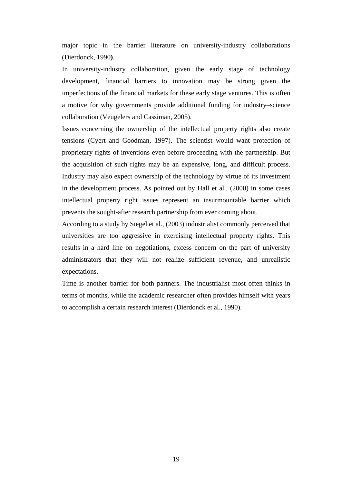major topic in the barrier literature on university-industry collaborations (Dierdonck, 1990**)**.

In university-industry collaboration, given the early stage of technology development, financial barriers to innovation may be strong given the imperfections of the financial markets for these early stage ventures. This is often a motive for why governments provide additional funding for industry–science collaboration (Veugelers and Cassiman, 2005).

Issues concerning the ownership of the intellectual property rights also create tensions (Cyert and Goodman, 1997). The scientist would want protection of proprietary rights of inventions even before proceeding with the partnership. But the acquisition of such rights may be an expensive, long, and difficult process. Industry may also expect ownership of the technology by virtue of its investment in the development process. As pointed out by Hall et al., (2000) in some cases intellectual property right issues represent an insurmountable barrier which prevents the sought-after research partnership from ever coming about.

According to a study by Siegel et al., (2003) industrialist commonly perceived that universities are too aggressive in exercising intellectual property rights. This results in a hard line on negotiations, excess concern on the part of university administrators that they will not realize sufficient revenue, and unrealistic expectations.

Time is another barrier for both partners. The industrialist most often thinks in terms of months, while the academic researcher often provides himself with years to accomplish a certain research interest (Dierdonck et al., 1990).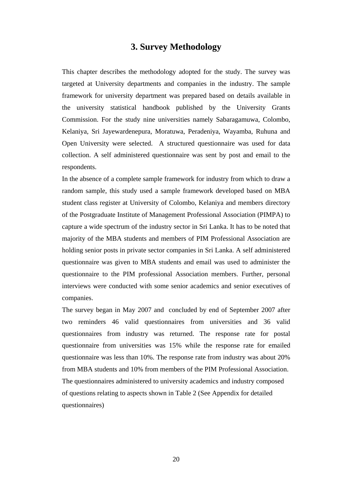## **3. Survey Methodology**

This chapter describes the methodology adopted for the study. The survey was targeted at University departments and companies in the industry. The sample framework for university department was prepared based on details available in the university statistical handbook published by the University Grants Commission. For the study nine universities namely Sabaragamuwa, Colombo, Kelaniya, Sri Jayewardenepura, Moratuwa, Peradeniya, Wayamba, Ruhuna and Open University were selected. A structured questionnaire was used for data collection. A self administered questionnaire was sent by post and email to the respondents.

In the absence of a complete sample framework for industry from which to draw a random sample, this study used a sample framework developed based on MBA student class register at University of Colombo, Kelaniya and members directory of the Postgraduate Institute of Management Professional Association (PIMPA) to capture a wide spectrum of the industry sector in Sri Lanka. It has to be noted that majority of the MBA students and members of PIM Professional Association are holding senior posts in private sector companies in Sri Lanka. A self administered questionnaire was given to MBA students and email was used to administer the questionnaire to the PIM professional Association members. Further, personal interviews were conducted with some senior academics and senior executives of companies.

The survey began in May 2007 and concluded by end of September 2007 after two reminders 46 valid questionnaires from universities and 36 valid questionnaires from industry was returned. The response rate for postal questionnaire from universities was 15% while the response rate for emailed questionnaire was less than 10%. The response rate from industry was about 20% from MBA students and 10% from members of the PIM Professional Association. The questionnaires administered to university academics and industry composed of questions relating to aspects shown in Table 2 (See Appendix for detailed questionnaires)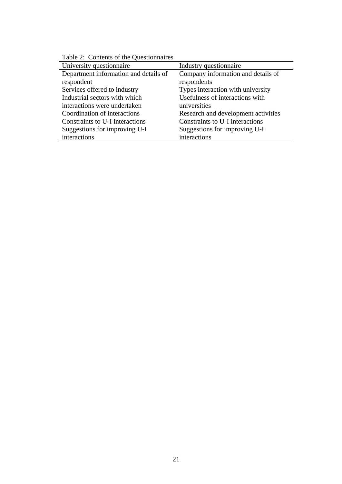Table 2: Contents of the Questionnaires

| rational 2. Contents of the Questionnalities |                                     |
|----------------------------------------------|-------------------------------------|
| University questionnaire                     | Industry questionnaire              |
| Department information and details of        | Company information and details of  |
| respondent                                   | respondents                         |
| Services offered to industry                 | Types interaction with university   |
| Industrial sectors with which                | Usefulness of interactions with     |
| interactions were undertaken                 | universities                        |
| Coordination of interactions                 | Research and development activities |
| Constraints to U-I interactions              | Constraints to U-I interactions     |
| Suggestions for improving U-I                | Suggestions for improving U-I       |
| interactions                                 | interactions                        |
|                                              |                                     |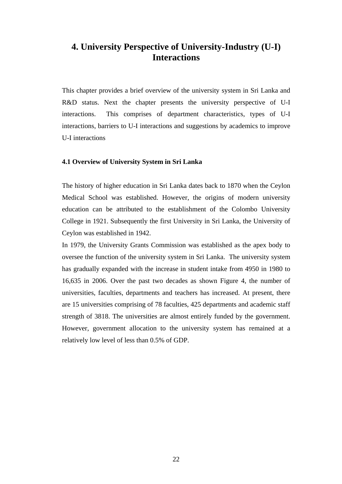## **4. University Perspective of University-Industry (U-I) Interactions**

This chapter provides a brief overview of the university system in Sri Lanka and R&D status. Next the chapter presents the university perspective of U-I interactions. This comprises of department characteristics, types of U-I interactions, barriers to U-I interactions and suggestions by academics to improve U-I interactions

### **4.1 Overview of University System in Sri Lanka**

The history of higher education in Sri Lanka dates back to 1870 when the Ceylon Medical School was established. However, the origins of modern university education can be attributed to the establishment of the Colombo University College in 1921. Subsequently the first University in Sri Lanka, the University of Ceylon was established in 1942.

In 1979, the University Grants Commission was established as the apex body to oversee the function of the university system in Sri Lanka. The university system has gradually expanded with the increase in student intake from 4950 in 1980 to 16,635 in 2006. Over the past two decades as shown Figure 4, the number of universities, faculties, departments and teachers has increased. At present, there are 15 universities comprising of 78 faculties, 425 departments and academic staff strength of 3818. The universities are almost entirely funded by the government. However, government allocation to the university system has remained at a relatively low level of less than 0.5% of GDP.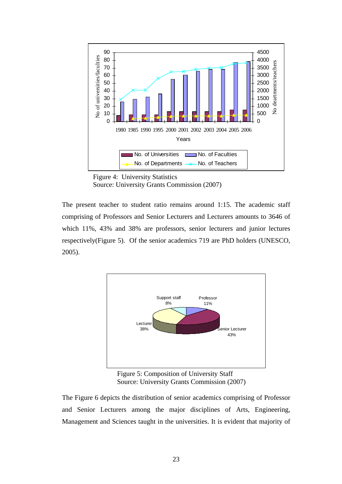

 Figure 4: University Statistics Source: University Grants Commission (2007)

The present teacher to student ratio remains around 1:15. The academic staff comprising of Professors and Senior Lecturers and Lecturers amounts to 3646 of which 11%, 43% and 38% are professors, senior lecturers and junior lectures respectively(Figure 5). Of the senior academics 719 are PhD holders (UNESCO, 2005).



 Figure 5: Composition of University Staff Source: University Grants Commission (2007)

The Figure 6 depicts the distribution of senior academics comprising of Professor and Senior Lecturers among the major disciplines of Arts, Engineering, Management and Sciences taught in the universities. It is evident that majority of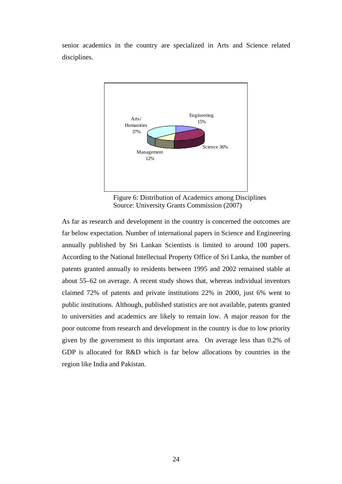senior academics in the country are specialized in Arts and Science related disciplines.



 Figure 6: Distribution of Academics among Disciplines Source: University Grants Commission (2007)

As far as research and development in the country is concerned the outcomes are far below expectation. Number of international papers in Science and Engineering annually published by Sri Lankan Scientists is limited to around 100 papers. According to the National Intellectual Property Office of Sri Lanka, the number of patents granted annually to residents between 1995 and 2002 remained stable at about 55–62 on average. A recent study shows that, whereas individual inventors claimed 72% of patents and private institutions 22% in 2000, just 6% went to public institutions. Although, published statistics are not available, patents granted to universities and academics are likely to remain low. A major reason for the poor outcome from research and development in the country is due to low priority given by the government to this important area. On average less than 0.2% of GDP is allocated for R&D which is far below allocations by countries in the region like India and Pakistan.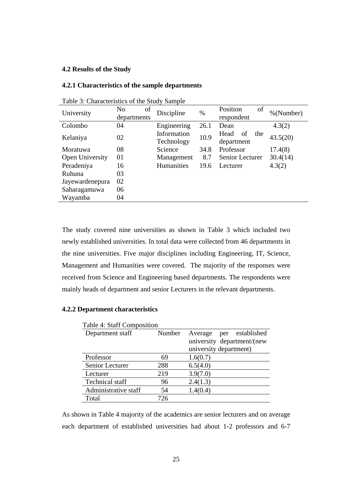### **4.2 Results of the Study**

### **4.2.1 Characteristics of the sample departments**

| University      | No<br>of    | Discipline        | $\%$ | Position<br>of    | %(Number) |  |
|-----------------|-------------|-------------------|------|-------------------|-----------|--|
|                 | departments |                   |      | respondent        |           |  |
| Colombo         | 04          | Engineering       | 26.1 | Dean              | 4.3(2)    |  |
| Kelaniya        | 02          | Information       | 10.9 | Head<br>οf<br>the | 43.5(20)  |  |
|                 |             | Technology        |      |                   |           |  |
| Moratuwa        | 08          | Science           | 34.8 | Professor         | 17.4(8)   |  |
| Open University | 01          | Management        | 8.7  | Senior Lecturer   | 30.4(14)  |  |
| Peradeniya      | 16          | <b>Humanities</b> | 19.6 | Lecturer          | 4.3(2)    |  |
| Ruhuna          | 03          |                   |      |                   |           |  |
| Jayewardenepura | 02          |                   |      |                   |           |  |
| Sabaragamuwa    | 06          |                   |      |                   |           |  |
| Wayamba         | 04          |                   |      |                   |           |  |

Table 3: Characteristics of the Study Sample

The study covered nine universities as shown in Table 3 which included two newly established universities. In total data were collected from 46 departments in the nine universities. Five major disciplines including Engineering, IT, Science, Management and Humanities were covered. The majority of the responses were received from Science and Engineering based departments. The respondents were mainly heads of department and senior Lecturers in the relevant departments.

### **4.2.2 Department characteristics**

| Department staff     | Number | per established<br>Average |
|----------------------|--------|----------------------------|
|                      |        | university department/(new |
|                      |        | university department)     |
| Professor            | 69     | 1.6(0.7)                   |
| Senior Lecturer      | 288    | 6.5(4.0)                   |
| Lecturer             | 219    | 3.9(7.0)                   |
| Technical staff      | 96     | 2.4(1.3)                   |
| Administrative staff | 54     | 1.4(0.4)                   |
| Total                | 726    |                            |

As shown in Table 4 majority of the academics are senior lecturers and on average each department of established universities had about 1-2 professors and 6-7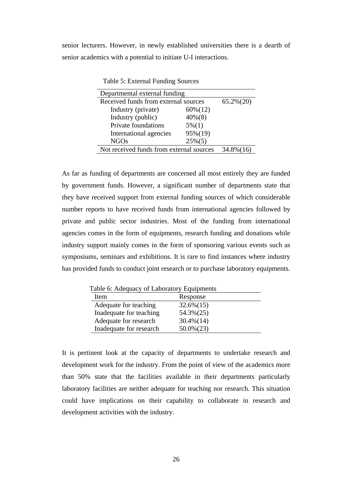senior lecturers. However, in newly established universities there is a dearth of senior academics with a potential to initiate U-I interactions.

Table 5: External Funding Sources

| Departmental external funding            |              |              |  |  |  |
|------------------------------------------|--------------|--------------|--|--|--|
| Received funds from external sources     |              | $65.2\%(20)$ |  |  |  |
| Industry (private)                       |              |              |  |  |  |
| Industry (public)                        |              |              |  |  |  |
| Private foundations                      |              |              |  |  |  |
| International agencies                   |              |              |  |  |  |
| <b>NGOs</b>                              |              |              |  |  |  |
| Not received funds from external sources | $34.8\%(16)$ |              |  |  |  |

As far as funding of departments are concerned all most entirely they are funded by government funds. However, a significant number of departments state that they have received support from external funding sources of which considerable number reports to have received funds from international agencies followed by private and public sector industries. Most of the funding from international agencies comes in the form of equipments, research funding and donations while industry support mainly comes in the form of sponsoring various events such as symposiums, seminars and exhibitions. It is rare to find instances where industry has provided funds to conduct joint research or to purchase laboratory equipments.

Table 6: Adequacy of Laboratory Equipments

| Item                    | Response     |  |
|-------------------------|--------------|--|
| Adequate for teaching   | $32.6\%(15)$ |  |
| Inadequate for teaching | $54.3\%(25)$ |  |
| Adequate for research   | $30.4\%(14)$ |  |
| Inadequate for research | $50.0\%(23)$ |  |
|                         |              |  |

It is pertinent look at the capacity of departments to undertake research and development work for the industry. From the point of view of the academics more than 50% state that the facilities available in their departments particularly laboratory facilities are neither adequate for teaching nor research. This situation could have implications on their capability to collaborate in research and development activities with the industry.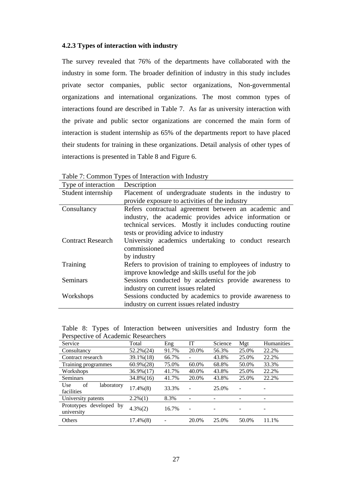### **4.2.3 Types of interaction with industry**

The survey revealed that 76% of the departments have collaborated with the industry in some form. The broader definition of industry in this study includes private sector companies, public sector organizations, Non-governmental organizations and international organizations. The most common types of interactions found are described in Table 7. As far as university interaction with the private and public sector organizations are concerned the main form of interaction is student internship as 65% of the departments report to have placed their students for training in these organizations. Detail analysis of other types of interactions is presented in Table 8 and Figure 6.

| Type of interaction      | Description                                                          |
|--------------------------|----------------------------------------------------------------------|
| Student internship       | Placement of undergraduate students in the industry to               |
|                          | provide exposure to activities of the industry                       |
| Consultancy              | Refers contractual agreement between an academic and                 |
|                          | industry, the academic provides advice information or                |
|                          | technical services. Mostly it includes conducting routine            |
|                          | tests or providing advice to industry                                |
| <b>Contract Research</b> | University academics undertaking to conduct research<br>commissioned |
|                          | by industry                                                          |
| Training                 | Refers to provision of training to employees of industry to          |
|                          | improve knowledge and skills useful for the job                      |
| Seminars                 | Sessions conducted by academics provide awareness to                 |
|                          | industry on current issues related                                   |
| Workshops                | Sessions conducted by academics to provide awareness to              |
|                          | industry on current issues related industry                          |

Table 7: Common Types of Interaction with Industry

|  |  |                                     | Table 8: Types of Interaction between universities and Industry form the |  |  |
|--|--|-------------------------------------|--------------------------------------------------------------------------|--|--|
|  |  | Perspective of Academic Researchers |                                                                          |  |  |

| I cropedive of <i>Ti</i> cagemic Researchers |       |       |         |       |                   |
|----------------------------------------------|-------|-------|---------|-------|-------------------|
| Total                                        | Eng   | IT    | Science | Mgt   | <b>Humanities</b> |
| 52.2%(24)                                    | 91.7% | 20.0% | 56.3%   | 25.0% | 22.2%             |
| 39.1%(18)                                    | 66.7% |       | 43.8%   | 25.0% | 22.2%             |
| $60.9\%(28)$                                 | 75.0% | 60.0% | 68.8%   | 50.0% | 33.3%             |
| 36.9%(17)                                    | 41.7% | 40.0% | 43.8%   | 25.0% | 22.2%             |
| 34.8%(16)                                    | 41.7% | 20.0% | 43.8%   | 25.0% | 22.2%             |
| 17.4%(8)                                     | 33.3% |       | 25.0%   |       |                   |
| $2.2\%(1)$                                   | 8.3%  |       |         |       |                   |
| $4.3\%(2)$                                   | 16.7% | -     |         |       |                   |
| 17.4%(8)                                     |       | 20.0% | 25.0%   | 50.0% | 11.1%             |
|                                              |       |       |         |       |                   |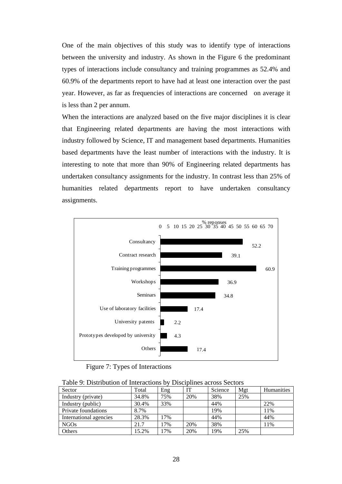One of the main objectives of this study was to identify type of interactions between the university and industry. As shown in the Figure 6 the predominant types of interactions include consultancy and training programmes as 52.4% and 60.9% of the departments report to have had at least one interaction over the past year. However, as far as frequencies of interactions are concerned on average it is less than 2 per annum.

When the interactions are analyzed based on the five major disciplines it is clear that Engineering related departments are having the most interactions with industry followed by Science, IT and management based departments. Humanities based departments have the least number of interactions with the industry. It is interesting to note that more than 90% of Engineering related departments has undertaken consultancy assignments for the industry. In contrast less than 25% of humanities related departments report to have undertaken consultancy assignments.



Figure 7: Types of Interactions

| Sector                 | Total | Eng | IТ  | Science | Mgt | Humanities |
|------------------------|-------|-----|-----|---------|-----|------------|
| Industry (private)     | 34.8% | 75% | 20% | 38%     | 25% |            |
| Industry (public)      | 30.4% | 33% |     | 44%     |     | 22%        |
| Private foundations    | 8.7%  |     |     | 19%     |     | 11%        |
| International agencies | 28.3% | 17% |     | 44%     |     | 44%        |
| <b>NGOs</b>            | 21.7  | 17% | 20% | 38%     |     | 11%        |
| Others                 | 15.2% | 17% | 20% | 19%     | 25% |            |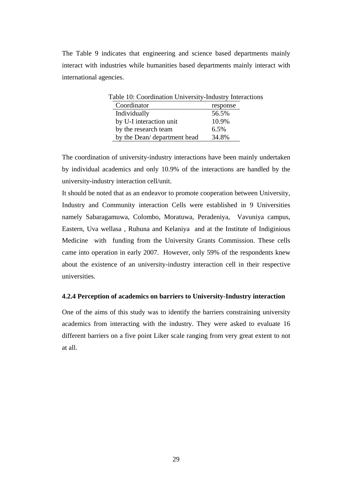The Table 9 indicates that engineering and science based departments mainly interact with industries while humanities based departments mainly interact with international agencies.

| Table 10: Coordination University-Industry Interactions |          |
|---------------------------------------------------------|----------|
| Coordinator                                             | response |
| Individually                                            | 56.5%    |
| by U-I interaction unit                                 | 10.9%    |
| by the research team                                    | 6.5%     |
| by the Dean/ department head                            | 34.8%    |

The coordination of university-industry interactions have been mainly undertaken by individual academics and only 10.9% of the interactions are handled by the university-industry interaction cell/unit.

It should be noted that as an endeavor to promote cooperation between University, Industry and Community interaction Cells were established in 9 Universities namely Sabaragamuwa, Colombo, Moratuwa, Peradeniya, Vavuniya campus, Eastern, Uva wellasa , Ruhuna and Kelaniya and at the Institute of Indiginious Medicine with funding from the University Grants Commission. These cells came into operation in early 2007. However, only 59% of the respondents knew about the existence of an university-industry interaction cell in their respective universities.

### **4.2.4 Perception of academics on barriers to University-Industry interaction**

One of the aims of this study was to identify the barriers constraining university academics from interacting with the industry. They were asked to evaluate 16 different barriers on a five point Liker scale ranging from very great extent to not at all.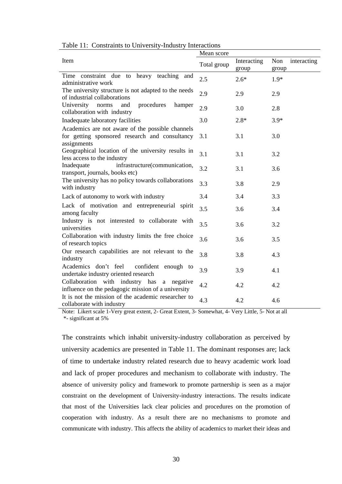|                                                                                                                   | Mean score  |                      |                             |
|-------------------------------------------------------------------------------------------------------------------|-------------|----------------------|-----------------------------|
| Item                                                                                                              | Total group | Interacting<br>group | Non<br>interacting<br>group |
| Time constraint due to heavy teaching<br>and<br>administrative work                                               | 2.5         | $2.6*$               | $1.9*$                      |
| The university structure is not adapted to the needs<br>of industrial collaborations                              | 2.9         | 2.9                  | 2.9                         |
| University<br>procedures<br>norms<br>and<br>hamper<br>collaboration with industry                                 | 2.9         | 3.0                  | 2.8                         |
| Inadequate laboratory facilities                                                                                  | 3.0         | $2.8*$               | $3.9*$                      |
| Academics are not aware of the possible channels<br>for getting sponsored research and consultancy<br>assignments | 3.1         | 3.1                  | 3.0                         |
| Geographical location of the university results in<br>less access to the industry                                 | 3.1         | 3.1                  | 3.2                         |
| Inadequate<br>infrastructure(communication,<br>transport, journals, books etc)                                    | 3.2         | 3.1                  | 3.6                         |
| The university has no policy towards collaborations<br>with industry                                              | 3.3         | 3.8                  | 2.9                         |
| Lack of autonomy to work with industry                                                                            | 3.4         | 3.4                  | 3.3                         |
| Lack of motivation and entrepreneurial<br>spirit<br>among faculty                                                 | 3.5         | 3.6                  | 3.4                         |
| Industry is not interested to collaborate with<br>universities                                                    | 3.5         | 3.6                  | 3.2                         |
| Collaboration with industry limits the free choice<br>of research topics                                          | 3.6         | 3.6                  | 3.5                         |
| Our research capabilities are not relevant to the<br>industry                                                     | 3.8         | 3.8                  | 4.3                         |
| Academics don't feel<br>confident enough to<br>undertake industry oriented research                               | 3.9         | 3.9                  | 4.1                         |
| Collaboration with industry has<br>a negative<br>influence on the pedagogic mission of a university               | 4.2         | 4.2                  | 4.2                         |
| It is not the mission of the academic researcher to<br>collaborate with industry                                  | 4.3         | 4.2                  | 4.6                         |

Note: Likert scale 1-Very great extent, 2- Great Extent, 3- Somewhat, 4- Very Little, 5- Not at all \*- significant at 5%

The constraints which inhabit university-industry collaboration as perceived by university academics are presented in Table 11. The dominant responses are; lack of time to undertake industry related research due to heavy academic work load and lack of proper procedures and mechanism to collaborate with industry. The absence of university policy and framework to promote partnership is seen as a major constraint on the development of University-industry interactions. The results indicate that most of the Universities lack clear policies and procedures on the promotion of cooperation with industry. As a result there are no mechanisms to promote and communicate with industry. This affects the ability of academics to market their ideas and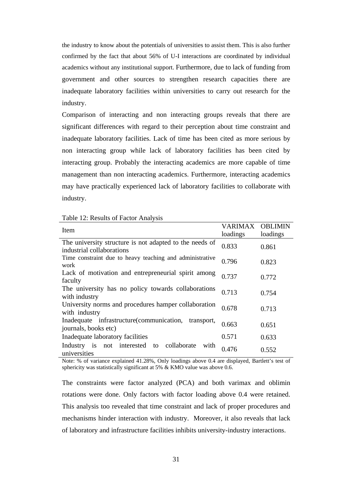the industry to know about the potentials of universities to assist them. This is also further confirmed by the fact that about 56% of U-I interactions are coordinated by individual academics without any institutional support. Furthermore, due to lack of funding from government and other sources to strengthen research capacities there are inadequate laboratory facilities within universities to carry out research for the industry.

Comparison of interacting and non interacting groups reveals that there are significant differences with regard to their perception about time constraint and inadequate laboratory facilities. Lack of time has been cited as more serious by non interacting group while lack of laboratory facilities has been cited by interacting group. Probably the interacting academics are more capable of time management than non interacting academics. Furthermore, interacting academics may have practically experienced lack of laboratory facilities to collaborate with industry.

| Item                                                                                 | <b>VARIMAX</b><br>loadings | <b>OBLIMIN</b><br>loadings |
|--------------------------------------------------------------------------------------|----------------------------|----------------------------|
| The university structure is not adapted to the needs of<br>industrial collaborations | 0.833                      | 0.861                      |
| Time constraint due to heavy teaching and administrative<br>work                     | 0.796                      | 0.823                      |
| Lack of motivation and entrepreneurial spirit among<br>faculty                       | 0.737                      | 0.772                      |
| The university has no policy towards collaborations<br>with industry                 | 0.713                      | 0.754                      |
| University norms and procedures hamper collaboration<br>with industry                | 0.678                      | 0.713                      |
| Inadequate infrastructure (communication,<br>transport,<br>journals, books etc)      | 0.663                      | 0.651                      |
| Inadequate laboratory facilities                                                     | 0.571                      | 0.633                      |
| Industry is not interested<br>collaborate<br>with<br>to<br>universities              | 0.476                      | 0.552                      |

Table 12: Results of Factor Analysis

Note: % of variance explained 41.28%, Only loadings above 0.4 are displayed, Bartlett's test of sphericity was statistically significant at 5% & KMO value was above 0.6.

The constraints were factor analyzed (PCA) and both varimax and oblimin rotations were done. Only factors with factor loading above 0.4 were retained. This analysis too revealed that time constraint and lack of proper procedures and mechanisms hinder interaction with industry. Moreover, it also reveals that lack of laboratory and infrastructure facilities inhibits university-industry interactions.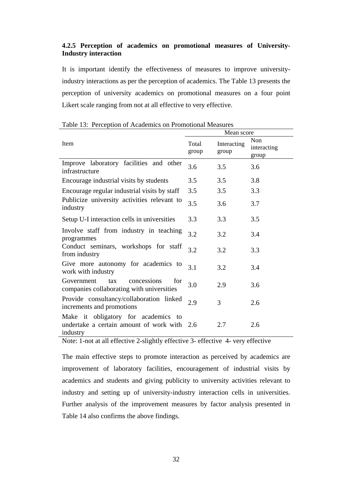### **4.2.5 Perception of academics on promotional measures of University-Industry interaction**

It is important identify the effectiveness of measures to improve universityindustry interactions as per the perception of academics. The Table 13 presents the perception of university academics on promotional measures on a four point Likert scale ranging from not at all effective to very effective.

|                                                                                                |                | Mean score           |                             |
|------------------------------------------------------------------------------------------------|----------------|----------------------|-----------------------------|
| Item                                                                                           | Total<br>group | Interacting<br>group | Non<br>interacting<br>group |
| Improve laboratory facilities and other<br>infrastructure                                      | 3.6            | 3.5                  | 3.6                         |
| Encourage industrial visits by students                                                        | 3.5            | 3.5                  | 3.8                         |
| Encourage regular industrial visits by staff                                                   | 3.5            | 3.5                  | 3.3                         |
| Publicize university activities relevant to<br>industry                                        | 3.5            | 3.6                  | 3.7                         |
| Setup U-I interaction cells in universities                                                    | 3.3            | 3.3                  | 3.5                         |
| Involve staff from industry in teaching<br>programmes                                          | 3.2            | 3.2                  | 3.4                         |
| Conduct seminars, workshops for staff<br>from industry                                         | 3.2            | 3.2                  | 3.3                         |
| Give more autonomy for academics to<br>work with industry                                      | 3.1            | 3.2                  | 3.4                         |
| Government<br>concessions<br>for<br>tax<br>companies collaborating with universities           | 3.0            | 2.9                  | 3.6                         |
| Provide consultancy/collaboration linked<br>increments and promotions                          | 2.9            | 3                    | 2.6                         |
| Make it obligatory for academics to<br>undertake a certain amount of work with 2.6<br>industry |                | 2.7                  | 2.6                         |

Table 13: Perception of Academics on Promotional Measures

Note: 1-not at all effective 2-slightly effective 3- effective 4- very effective

The main effective steps to promote interaction as perceived by academics are improvement of laboratory facilities, encouragement of industrial visits by academics and students and giving publicity to university activities relevant to industry and setting up of university-industry interaction cells in universities. Further analysis of the improvement measures by factor analysis presented in Table 14 also confirms the above findings.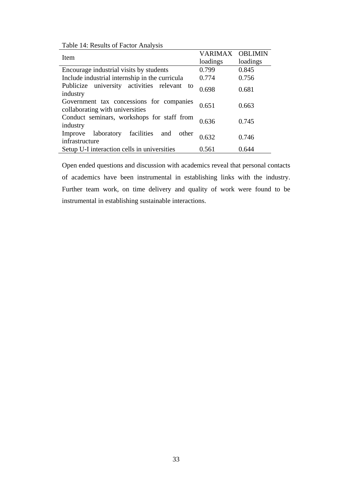Table 14: Results of Factor Analysis

| Item                                                                        | <b>VARIMAX</b> | <b>OBLIMIN</b> |
|-----------------------------------------------------------------------------|----------------|----------------|
|                                                                             | loadings       | loadings       |
| Encourage industrial visits by students                                     | 0.799          | 0.845          |
| Include industrial internship in the curricula                              | 0.774          | 0.756          |
| Publicize university activities relevant<br>to<br>industry                  | 0.698          | 0.681          |
| Government tax concessions for companies<br>collaborating with universities | 0.651          | 0.663          |
| Conduct seminars, workshops for staff from<br>industry                      | 0.636          | 0.745          |
| facilities<br>laboratory<br>and<br>Improve<br>other<br>infrastructure       | 0.632          | 0.746          |
| Setup U-I interaction cells in universities                                 | 0.561          | 0.644          |

Open ended questions and discussion with academics reveal that personal contacts of academics have been instrumental in establishing links with the industry. Further team work, on time delivery and quality of work were found to be instrumental in establishing sustainable interactions.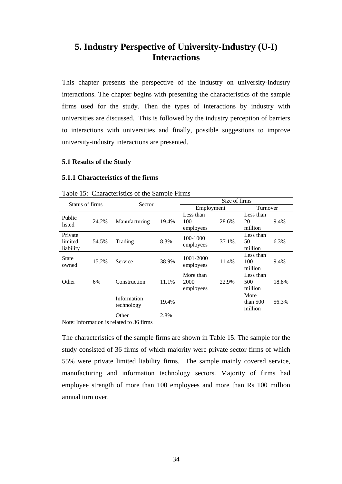## **5. Industry Perspective of University-Industry (U-I) Interactions**

This chapter presents the perspective of the industry on university-industry interactions. The chapter begins with presenting the characteristics of the sample firms used for the study. Then the types of interactions by industry with universities are discussed. This is followed by the industry perception of barriers to interactions with universities and finally, possible suggestions to improve university-industry interactions are presented.

### **5.1 Results of the Study**

#### **5.1.1 Characteristics of the firms**

| Status of firms       |                      |                      | Sector |            | Size of firms |            |       |  |
|-----------------------|----------------------|----------------------|--------|------------|---------------|------------|-------|--|
|                       |                      |                      |        | Employment |               | Turnover   |       |  |
| Public                |                      |                      |        | Less than  |               | Less than  |       |  |
| listed                | 24.2%                | Manufacturing        | 19.4%  | 100        | 28.6%         | 20         | 9.4%  |  |
|                       |                      |                      |        | employees  |               | million    |       |  |
| Private               |                      |                      |        | 100-1000   |               | Less than  |       |  |
| limited               | 54.5%                | Trading              | 8.3%   | employees  | 37.1%.        | 50         | 6.3%  |  |
| liability             |                      |                      |        |            |               | million    |       |  |
|                       |                      |                      |        | 1001-2000  |               | Less than  |       |  |
| State                 | 15.2%                | Service              | 38.9%  |            | 11.4%         | 100        | 9.4%  |  |
| owned                 |                      |                      |        | employees  |               | million    |       |  |
|                       |                      |                      |        | More than  |               | Less than  |       |  |
| Other                 | 6%                   | Construction         | 11.1%  | 2000       | 22.9%         | 500        | 18.8% |  |
|                       |                      |                      |        | employees  |               | million    |       |  |
|                       |                      |                      |        |            |               | More       |       |  |
|                       |                      | Information          | 19.4%  |            |               | than $500$ | 56.3% |  |
|                       |                      | technology           |        |            |               | million    |       |  |
|                       |                      | Other                | 2.8%   |            |               |            |       |  |
| $\sim$ $\sim$<br>$ -$ | $\sim$ $\sim$ $\sim$ | $\sim$ $\sim$ $\sim$ |        |            |               |            |       |  |

Table 15: Characteristics of the Sample Firms

Note: Information is related to 36 firms

The characteristics of the sample firms are shown in Table 15. The sample for the study consisted of 36 firms of which majority were private sector firms of which 55% were private limited liability firms. The sample mainly covered service, manufacturing and information technology sectors. Majority of firms had employee strength of more than 100 employees and more than Rs 100 million annual turn over.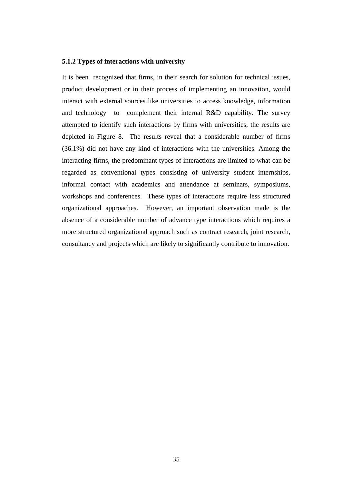#### **5.1.2 Types of interactions with university**

It is been recognized that firms, in their search for solution for technical issues, product development or in their process of implementing an innovation, would interact with external sources like universities to access knowledge, information and technology to complement their internal R&D capability. The survey attempted to identify such interactions by firms with universities, the results are depicted in Figure 8. The results reveal that a considerable number of firms (36.1%) did not have any kind of interactions with the universities. Among the interacting firms, the predominant types of interactions are limited to what can be regarded as conventional types consisting of university student internships, informal contact with academics and attendance at seminars, symposiums, workshops and conferences. These types of interactions require less structured organizational approaches. However, an important observation made is the absence of a considerable number of advance type interactions which requires a more structured organizational approach such as contract research, joint research, consultancy and projects which are likely to significantly contribute to innovation.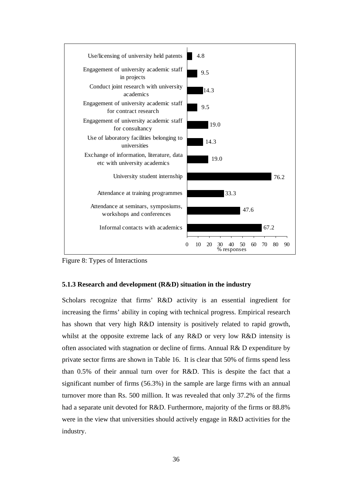

Figure 8: Types of Interactions

### **5.1.3 Research and development (R&D) situation in the industry**

Scholars recognize that firms' R&D activity is an essential ingredient for increasing the firms' ability in coping with technical progress. Empirical research has shown that very high R&D intensity is positively related to rapid growth, whilst at the opposite extreme lack of any R&D or very low R&D intensity is often associated with stagnation or decline of firms. Annual R& D expenditure by private sector firms are shown in Table 16. It is clear that 50% of firms spend less than 0.5% of their annual turn over for R&D. This is despite the fact that a significant number of firms (56.3%) in the sample are large firms with an annual turnover more than Rs. 500 million. It was revealed that only 37.2% of the firms had a separate unit devoted for R&D. Furthermore, majority of the firms or 88.8% were in the view that universities should actively engage in R&D activities for the industry.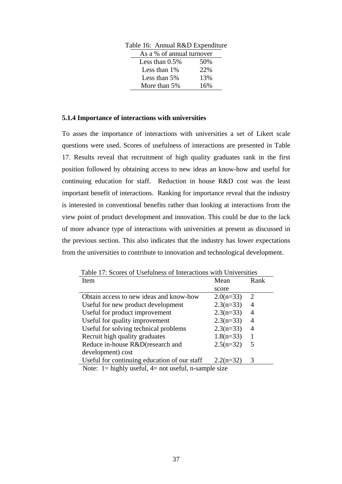| As a % of annual turnover |     |
|---------------------------|-----|
| Less than $0.5\%$         | 50% |
| Less than $1\%$           | 22% |
| Less than $5%$            | 13% |
| More than 5%              | 16% |

Table 16: Annual R&D Expenditure

### **5.1.4 Importance of interactions with universities**

To asses the importance of interactions with universities a set of Likert scale questions were used. Scores of usefulness of interactions are presented in Table 17. Results reveal that recruitment of high quality graduates rank in the first position followed by obtaining access to new ideas an know-how and useful for continuing education for staff. Reduction in house R&D cost was the least important benefit of interactions. Ranking for importance reveal that the industry is interested in conventional benefits rather than looking at interactions from the view point of product development and innovation. This could be due to the lack of more advance type of interactions with universities at present as discussed in the previous section. This also indicates that the industry has lower expectations from the universities to contribute to innovation and technological development.

| Taone 17. Seores of Osciumiess of Interactions with Omversities |             |      |
|-----------------------------------------------------------------|-------------|------|
| Item                                                            | Mean        | Rank |
|                                                                 | score       |      |
| Obtain access to new ideas and know-how                         | $2.0(n=33)$ | 2    |
| Useful for new product development                              | $2.3(n=33)$ | 4    |
| Useful for product improvement                                  | $2.3(n=33)$ | 4    |
| Useful for quality improvement                                  | $2.3(n=33)$ | 4    |
| Useful for solving technical problems                           | $2.3(n=33)$ | 4    |
| Recruit high quality graduates                                  | $1.8(n=33)$ |      |
| Reduce in-house R&D(research and                                | $2.5(n=32)$ | 5    |
| development) cost                                               |             |      |
| Useful for continuing education of our staff                    | $2.2(n=32)$ | 3    |
| $\mathbf{v}$ and $\mathbf{v}$ and $\mathbf{v}$ and $\mathbf{v}$ |             |      |

Table 17: Scores of Usefulness of Interactions with Universities

Note:  $1 =$  highly useful,  $4 =$  not useful, n-sample size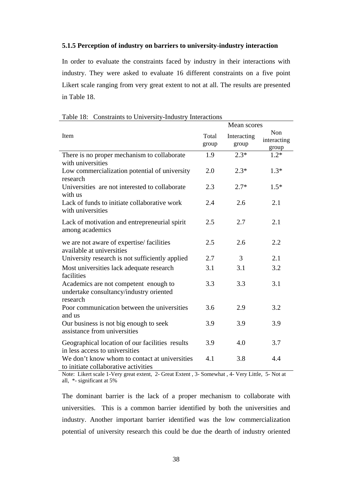### **5.1.5 Perception of industry on barriers to university-industry interaction**

In order to evaluate the constraints faced by industry in their interactions with industry. They were asked to evaluate 16 different constraints on a five point Likert scale ranging from very great extent to not at all. The results are presented in Table 18.

|                                                                                              |                | Mean scores          |                             |
|----------------------------------------------------------------------------------------------|----------------|----------------------|-----------------------------|
| Item                                                                                         | Total<br>group | Interacting<br>group | Non<br>interacting<br>group |
| There is no proper mechanism to collaborate<br>with universities                             | 1.9            | $2.3*$               | $1.2*$                      |
| Low commercialization potential of university<br>research                                    | 2.0            | $2.3*$               | $1.3*$                      |
| Universities are not interested to collaborate<br>with us                                    | 2.3            | $2.7*$               | $1.5*$                      |
| Lack of funds to initiate collaborative work<br>with universities                            | 2.4            | 2.6                  | 2.1                         |
| Lack of motivation and entrepreneurial spirit<br>among academics                             | 2.5            | 2.7                  | 2.1                         |
| we are not aware of expertise/facilities<br>available at universities                        | 2.5            | 2.6                  | 2.2                         |
| University research is not sufficiently applied                                              | 2.7            | 3                    | 2.1                         |
| Most universities lack adequate research<br>facilities                                       | 3.1            | 3.1                  | 3.2                         |
| Academics are not competent enough to<br>undertake consultancy/industry oriented<br>research | 3.3            | 3.3                  | 3.1                         |
| Poor communication between the universities<br>and us                                        | 3.6            | 2.9                  | 3.2                         |
| Our business is not big enough to seek<br>assistance from universities                       | 3.9            | 3.9                  | 3.9                         |
| Geographical location of our facilities results<br>in less access to universities            | 3.9            | 4.0                  | 3.7                         |
| We don't know whom to contact at universities<br>to initiate collaborative activities        | 4.1            | 3.8                  | 4.4                         |

Table 18: Constraints to University-Industry Interactions

Note: Likert scale 1-Very great extent, 2- Great Extent , 3- Somewhat , 4- Very Little, 5- Not at all, \*- significant at 5%

The dominant barrier is the lack of a proper mechanism to collaborate with universities. This is a common barrier identified by both the universities and industry. Another important barrier identified was the low commercialization potential of university research this could be due the dearth of industry oriented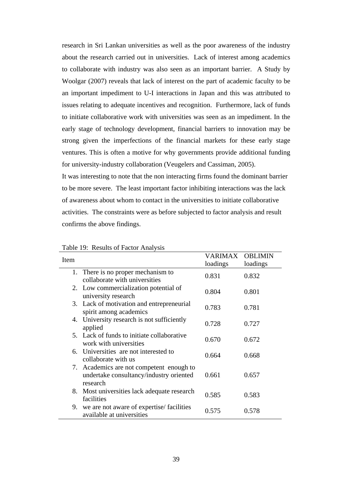research in Sri Lankan universities as well as the poor awareness of the industry about the research carried out in universities. Lack of interest among academics to collaborate with industry was also seen as an important barrier. A Study by Woolgar (2007) reveals that lack of interest on the part of academic faculty to be an important impediment to U-I interactions in Japan and this was attributed to issues relating to adequate incentives and recognition. Furthermore, lack of funds to initiate collaborative work with universities was seen as an impediment. In the early stage of technology development, financial barriers to innovation may be strong given the imperfections of the financial markets for these early stage ventures. This is often a motive for why governments provide additional funding for university-industry collaboration (Veugelers and Cassiman, 2005).

It was interesting to note that the non interacting firms found the dominant barrier to be more severe. The least important factor inhibiting interactions was the lack of awareness about whom to contact in the universities to initiate collaborative activities. The constraints were as before subjected to factor analysis and result confirms the above findings.

| Item |                                                                                                 | VARIMAX  | <b>OBLIMIN</b> |
|------|-------------------------------------------------------------------------------------------------|----------|----------------|
|      |                                                                                                 | loadings | loadings       |
|      | 1. There is no proper mechanism to<br>collaborate with universities                             | 0.831    | 0.832          |
|      | 2. Low commercialization potential of<br>university research                                    | 0.804    | 0.801          |
|      | 3. Lack of motivation and entrepreneurial<br>spirit among academics                             | 0.783    | 0.781          |
| 4.   | University research is not sufficiently<br>applied                                              | 0.728    | 0.727          |
|      | 5. Lack of funds to initiate collaborative<br>work with universities                            | 0.670    | 0.672          |
|      | 6. Universities are not interested to<br>collaborate with us                                    | 0.664    | 0.668          |
|      | 7. Academics are not competent enough to<br>undertake consultancy/industry oriented<br>research | 0.661    | 0.657          |
| 8.   | Most universities lack adequate research<br>facilities                                          | 0.585    | 0.583          |
| 9.   | we are not aware of expertise/facilities<br>available at universities                           | 0.575    | 0.578          |

Table 19: Results of Factor Analysis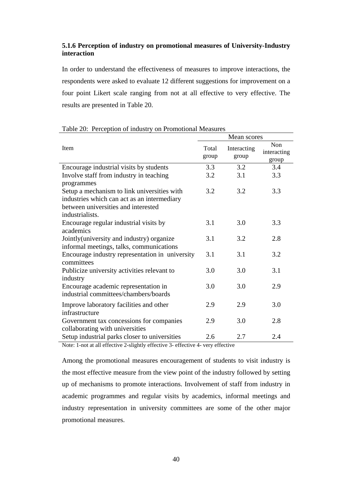## **5.1.6 Perception of industry on promotional measures of University-Industry interaction**

In order to understand the effectiveness of measures to improve interactions, the respondents were asked to evaluate 12 different suggestions for improvement on a four point Likert scale ranging from not at all effective to very effective. The results are presented in Table 20.

|                                                               | Mean scores    |                      |                             |
|---------------------------------------------------------------|----------------|----------------------|-----------------------------|
| Item                                                          | Total<br>group | Interacting<br>group | Non<br>interacting<br>group |
| Encourage industrial visits by students                       | 3.3            | 3.2                  | 3.4                         |
| Involve staff from industry in teaching                       | 3.2            | 3.1                  | 3.3                         |
| programmes                                                    |                |                      |                             |
| Setup a mechanism to link universities with                   | 3.2            | 3.2                  | 3.3                         |
| industries which can act as an intermediary                   |                |                      |                             |
| between universities and interested                           |                |                      |                             |
| industrialists.                                               |                |                      |                             |
| Encourage regular industrial visits by                        | 3.1            | 3.0                  | 3.3                         |
| academics                                                     |                |                      |                             |
| Jointly (university and industry) organize                    | 3.1            | 3.2                  | 2.8                         |
| informal meetings, talks, communications                      |                |                      |                             |
| Encourage industry representation in university<br>committees | 3.1            | 3.1                  | 3.2                         |
| Publicize university activities relevant to                   | 3.0            | 3.0                  | 3.1                         |
| industry                                                      |                |                      |                             |
| Encourage academic representation in                          | 3.0            | 3.0                  | 2.9                         |
| industrial committees/chambers/boards                         |                |                      |                             |
| Improve laboratory facilities and other                       | 2.9            | 2.9                  | 3.0                         |
| infrastructure                                                |                |                      |                             |
| Government tax concessions for companies                      | 2.9            | 3.0                  | 2.8                         |
| collaborating with universities                               |                |                      |                             |
| Setup industrial parks closer to universities                 | 2.6            | 2.7                  | 2.4                         |

|  |  |  | Table 20: Perception of industry on Promotional Measures |  |
|--|--|--|----------------------------------------------------------|--|
|--|--|--|----------------------------------------------------------|--|

Note: 1-not at all effective 2-slightly effective 3- effective 4- very effective

Among the promotional measures encouragement of students to visit industry is the most effective measure from the view point of the industry followed by setting up of mechanisms to promote interactions. Involvement of staff from industry in academic programmes and regular visits by academics, informal meetings and industry representation in university committees are some of the other major promotional measures.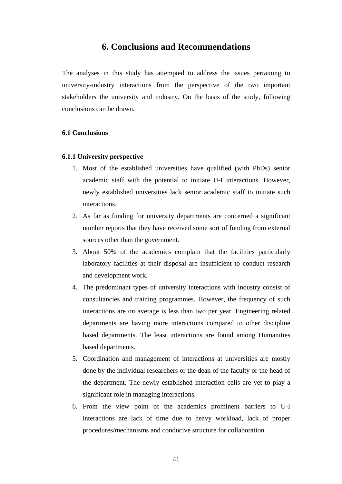## **6. Conclusions and Recommendations**

The analyses in this study has attempted to address the issues pertaining to university-industry interactions from the perspective of the two important stakeholders the university and industry. On the basis of the study, following conclusions can be drawn.

### **6.1 Conclusions**

### **6.1.1 University perspective**

- 1. Most of the established universities have qualified (with PhDs) senior academic staff with the potential to initiate U-I interactions. However, newly established universities lack senior academic staff to initiate such interactions.
- 2. As far as funding for university departments are concerned a significant number reports that they have received some sort of funding from external sources other than the government.
- 3. About 50% of the academics complain that the facilities particularly laboratory facilities at their disposal are insufficient to conduct research and development work.
- 4. The predominant types of university interactions with industry consist of consultancies and training programmes. However, the frequency of such interactions are on average is less than two per year. Engineering related departments are having more interactions compared to other discipline based departments. The least interactions are found among Humanities based departments.
- 5. Coordination and management of interactions at universities are mostly done by the individual researchers or the dean of the faculty or the head of the department. The newly established interaction cells are yet to play a significant role in managing interactions.
- 6. From the view point of the academics prominent barriers to U-I interactions are lack of time due to heavy workload, lack of proper procedures/mechanisms and conducive structure for collaboration.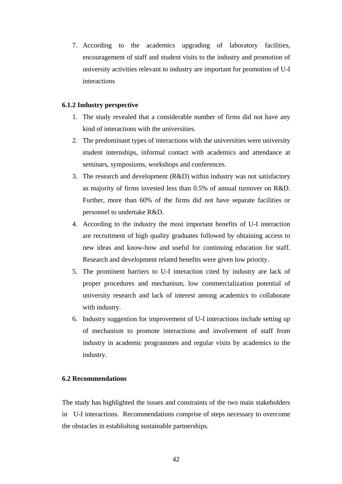7. According to the academics upgrading of laboratory facilities, encouragement of staff and student visits to the industry and promotion of university activities relevant to industry are important for promotion of U-I interactions

### **6.1.2 Industry perspective**

- 1. The study revealed that a considerable number of firms did not have any kind of interactions with the universities.
- 2. The predominant types of interactions with the universities were university student internships, informal contact with academics and attendance at seminars, symposiums, workshops and conferences.
- 3. The research and development (R&D) within industry was not satisfactory as majority of firms invested less than 0.5% of annual turnover on R&D. Further, more than 60% of the firms did not have separate facilities or personnel to undertake R&D.
- 4. According to the industry the most important benefits of U-I interaction are recruitment of high quality graduates followed by obtaining access to new ideas and know-how and useful for continuing education for staff. Research and development related benefits were given low priority.
- 5. The prominent barriers to U-I interaction cited by industry are lack of proper procedures and mechanism, low commercialization potential of university research and lack of interest among academics to collaborate with industry.
- 6. Industry suggestion for improvement of U-I interactions include setting up of mechanism to promote interactions and involvement of staff from industry in academic programmes and regular visits by academics to the industry.

### **6.2 Recommendations**

The study has highlighted the issues and constraints of the two main stakeholders in U-I interactions. Recommendations comprise of steps necessary to overcome the obstacles in establishing sustainable partnerships.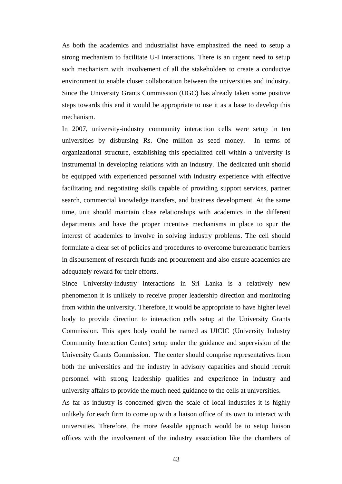As both the academics and industrialist have emphasized the need to setup a strong mechanism to facilitate U-I interactions. There is an urgent need to setup such mechanism with involvement of all the stakeholders to create a conducive environment to enable closer collaboration between the universities and industry. Since the University Grants Commission (UGC) has already taken some positive steps towards this end it would be appropriate to use it as a base to develop this mechanism.

In 2007, university-industry community interaction cells were setup in ten universities by disbursing Rs. One million as seed money. In terms of organizational structure, establishing this specialized cell within a university is instrumental in developing relations with an industry. The dedicated unit should be equipped with experienced personnel with industry experience with effective facilitating and negotiating skills capable of providing support services, partner search, commercial knowledge transfers, and business development. At the same time, unit should maintain close relationships with academics in the different departments and have the proper incentive mechanisms in place to spur the interest of academics to involve in solving industry problems. The cell should formulate a clear set of policies and procedures to overcome bureaucratic barriers in disbursement of research funds and procurement and also ensure academics are adequately reward for their efforts.

Since University-industry interactions in Sri Lanka is a relatively new phenomenon it is unlikely to receive proper leadership direction and monitoring from within the university. Therefore, it would be appropriate to have higher level body to provide direction to interaction cells setup at the University Grants Commission. This apex body could be named as UICIC (University Industry Community Interaction Center) setup under the guidance and supervision of the University Grants Commission. The center should comprise representatives from both the universities and the industry in advisory capacities and should recruit personnel with strong leadership qualities and experience in industry and university affairs to provide the much need guidance to the cells at universities.

As far as industry is concerned given the scale of local industries it is highly unlikely for each firm to come up with a liaison office of its own to interact with universities. Therefore, the more feasible approach would be to setup liaison offices with the involvement of the industry association like the chambers of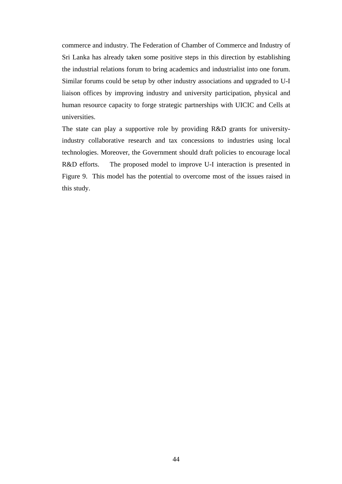commerce and industry. The Federation of Chamber of Commerce and Industry of Sri Lanka has already taken some positive steps in this direction by establishing the industrial relations forum to bring academics and industrialist into one forum. Similar forums could be setup by other industry associations and upgraded to U-I liaison offices by improving industry and university participation, physical and human resource capacity to forge strategic partnerships with UICIC and Cells at universities.

The state can play a supportive role by providing R&D grants for universityindustry collaborative research and tax concessions to industries using local technologies. Moreover, the Government should draft policies to encourage local R&D efforts. The proposed model to improve U-I interaction is presented in Figure 9. This model has the potential to overcome most of the issues raised in this study.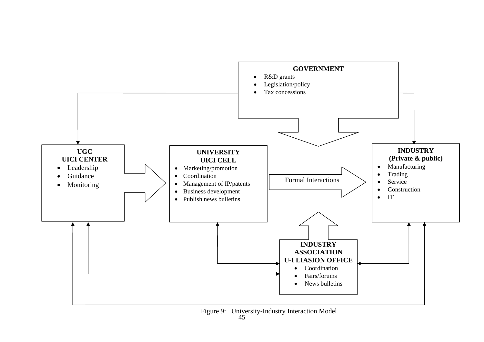

Figure 9: University-Industry Interaction Model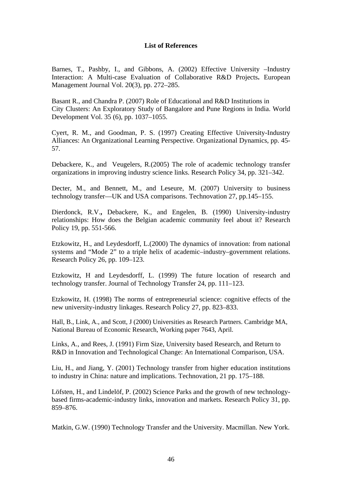### **List of References**

Barnes, T., Pashby, I., and Gibbons, A. (2002) Effective University –Industry Interaction: A Multi-case Evaluation of Collaborative R&D Projects**.** European Management Journal Vol. 20(3), pp. 272–285.

Basant R., and Chandra P. (2007) Role of Educational and R&D Institutions in City Clusters: An Exploratory Study of Bangalore and Pune Regions in India. World Development Vol. 35 (6), pp. 1037–1055.

Cyert, R. M., and Goodman, P. S. (1997) Creating Effective University-Industry Alliances: An Organizational Learning Perspective. Organizational Dynamics, pp. 45- 57.

Debackere, K., and Veugelers, R.(2005) The role of academic technology transfer organizations in improving industry science links. Research Policy 34, pp. 321–342.

Decter, M., and Bennett, M., and Leseure, M. (2007) University to business technology transfer—UK and USA comparisons. Technovation 27, pp.145–155.

Dierdonck, R.V.**,** Debackere, K., and Engelen, B. (1990) University-industry relationships: How does the Belgian academic community feel about it? Research Policy 19, pp. 551-566.

Etzkowitz, H., and Leydesdorff, L.(2000) The dynamics of innovation: from national systems and "Mode 2" to a triple helix of academic–industry–government relations. Research Policy 26, pp. 109–123.

Etzkowitz, H and Leydesdorff, L. (1999) The future location of research and technology transfer. Journal of Technology Transfer 24, pp. 111–123.

Etzkowitz, H. (1998) The norms of entrepreneurial science: cognitive effects of the new university-industry linkages. Research Policy 27, pp. 823–833.

Hall, B., Link, A., and Scott, J (2000) Universities as Research Partners. Cambridge MA, National Bureau of Economic Research, Working paper 7643, April.

Links, A., and Rees, J. (1991) Firm Size, University based Research, and Return to R&D in Innovation and Technological Change: An International Comparison, USA.

Liu, H., and Jiang, Y. (2001) Technology transfer from higher education institutions to industry in China: nature and implications. Technovation, 21 pp. 175–188.

Löfsten, H., and Lindelöf, P. (2002) Science Parks and the growth of new technologybased firms-academic-industry links, innovation and markets. Research Policy 31, pp. 859–876.

Matkin, G.W. (1990) Technology Transfer and the University. Macmillan. New York.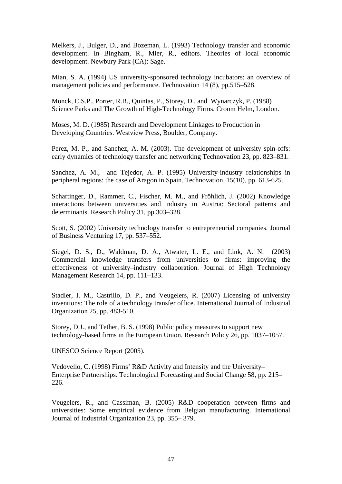Melkers, J., Bulger, D., and Bozeman, L. (1993) Technology transfer and economic development. In Bingham, R., Mier, R., editors. Theories of local economic development. Newbury Park (CA): Sage.

Mian, S. A. (1994) US university-sponsored technology incubators: an overview of management policies and performance. Technovation 14 (8), pp.515–528.

Monck, C.S.P., Porter, R.B., Quintas, P., Storey, D., and Wynarczyk, P. (1988) Science Parks and The Growth of High-Technology Firms. Croom Helm, London.

Moses, M. D. (1985) Research and Development Linkages to Production in Developing Countries. Westview Press, Boulder, Company.

Perez, M. P., and Sanchez, A. M. (2003). The development of university spin-offs: early dynamics of technology transfer and networking Technovation 23, pp. 823–831.

Sanchez, A. M., and Tejedor, A. P. (1995) University-industry relationships in peripheral regions: the case of Aragon in Spain. Technovation, 15(10), pp. 613-625.

Schartinger, D., Rammer, C., Fischer, M. M., and Fröhlich, J. (2002) Knowledge interactions between universities and industry in Austria: Sectoral patterns and determinants. Research Policy 31, pp.303–328.

Scott, S. (2002) University technology transfer to entrepreneurial companies. Journal of Business Venturing 17, pp. 537–552.

Siegel, D. S., D., Waldman, D. A., Atwater, L. E., and Link, A. N. (2003) Commercial knowledge transfers from universities to firms: improving the effectiveness of university–industry collaboration. Journal of High Technology Management Research 14, pp. 111–133.

Stadler, I. M., Castrillo, D. P., and Veugelers, R. (2007) Licensing of university inventions: The role of a technology transfer office. International Journal of Industrial Organization 25, pp. 483-510.

Storey, D.J., and Tether, B. S. (1998) Public policy measures to support new technology-based firms in the European Union. Research Policy 26, pp. 1037–1057.

UNESCO Science Report (2005).

Vedovello, C. (1998) Firms' R&D Activity and Intensity and the University– Enterprise Partnerships. Technological Forecasting and Social Change 58, pp. 215– 226.

Veugelers, R., and Cassiman, B. (2005) R&D cooperation between firms and universities: Some empirical evidence from Belgian manufacturing. International Journal of Industrial Organization 23, pp. 355– 379.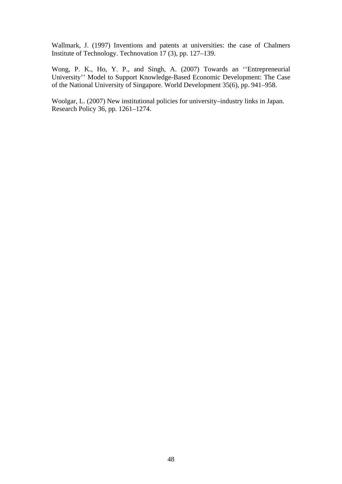Wallmark, J. (1997) Inventions and patents at universities: the case of Chalmers Institute of Technology. Technovation 17 (3), pp. 127–139.

Wong, P. K., Ho, Y. P., and Singh, A. (2007) Towards an ''Entrepreneurial University'' Model to Support Knowledge-Based Economic Development: The Case of the National University of Singapore. World Development 35(6), pp. 941–958.

Woolgar, L. (2007) New institutional policies for university–industry links in Japan. Research Policy 36, pp. 1261–1274.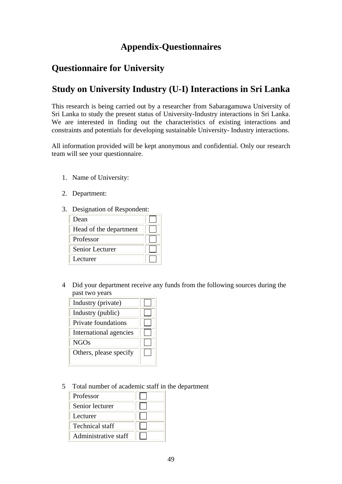# **Appendix-Questionnaires**

# **Questionnaire for University**

# **Study on University Industry (U-I) Interactions in Sri Lanka**

This research is being carried out by a researcher from Sabaragamuwa University of Sri Lanka to study the present status of University-Industry interactions in Sri Lanka. We are interested in finding out the characteristics of existing interactions and constraints and potentials for developing sustainable University- Industry interactions.

All information provided will be kept anonymous and confidential. Only our research team will see your questionnaire.

- 1. Name of University:
- 2. Department:
- 3. Designation of Respondent:

| Dean                   |  |
|------------------------|--|
| Head of the department |  |
| Professor              |  |
| <b>Senior Lecturer</b> |  |
| Lecturer               |  |

4 Did your department receive any funds from the following sources during the past two years

| Industry (private)     |  |
|------------------------|--|
| Industry (public)      |  |
| Private foundations    |  |
| International agencies |  |
| <b>NGOs</b>            |  |
| Others, please specify |  |

5 Total number of academic staff in the department

| Professor            |  |
|----------------------|--|
| Senior lecturer      |  |
| Lecturer             |  |
| Technical staff      |  |
| Administrative staff |  |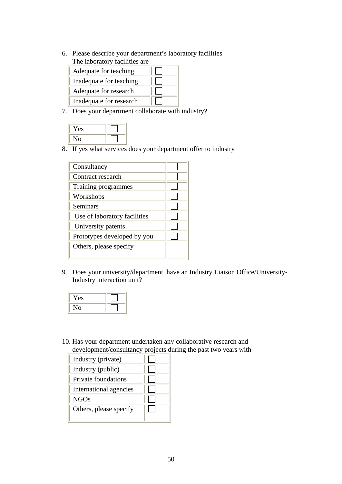6. Please describe your department's laboratory facilities The laboratory facilities are

| Adequate for teaching   |  |
|-------------------------|--|
| Inadequate for teaching |  |
| Adequate for research   |  |
| Inadequate for research |  |

7. Does your department collaborate with industry?

| Yes |  |
|-----|--|
|     |  |

8. If yes what services does your department offer to industry

| Consultancy                  |  |
|------------------------------|--|
| Contract research            |  |
| Training programmes          |  |
| Workshops                    |  |
| Seminars                     |  |
| Use of laboratory facilities |  |
| University patents           |  |
| Prototypes developed by you  |  |
| Others, please specify       |  |
|                              |  |

9. Does your university/department have an Industry Liaison Office/University-Industry interaction unit?

| Yes            |  |
|----------------|--|
| $^{\dagger}$ O |  |

10. Has your department undertaken any collaborative research and development/consultancy projects during the past two years with

| Industry (private)     |  |
|------------------------|--|
| Industry (public)      |  |
| Private foundations    |  |
| International agencies |  |
| <b>NGOs</b>            |  |
| Others, please specify |  |
|                        |  |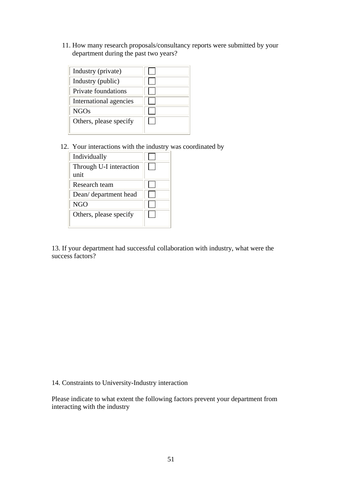11. How many research proposals/consultancy reports were submitted by your department during the past two years?

| Industry (private)     |  |
|------------------------|--|
| Industry (public)      |  |
| Private foundations    |  |
| International agencies |  |
| <b>NGOs</b>            |  |
| Others, please specify |  |

12. Your interactions with the industry was coordinated by

| Individually                    |  |
|---------------------------------|--|
| Through U-I interaction<br>unit |  |
| Research team                   |  |
| Dean/department head            |  |
| <b>NGO</b>                      |  |
| Others, please specify          |  |

13. If your department had successful collaboration with industry, what were the success factors?

14. Constraints to University-Industry interaction

Please indicate to what extent the following factors prevent your department from interacting with the industry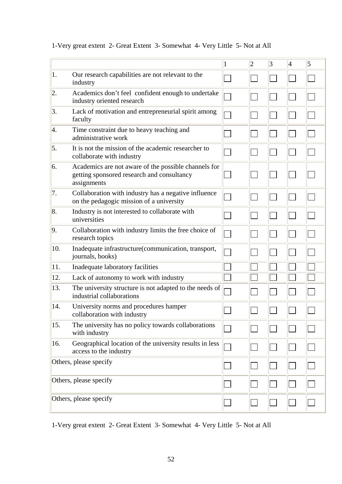|     |                                                                                                                   | $\overline{2}$ | $\overline{3}$ | $\overline{4}$ | 5 |
|-----|-------------------------------------------------------------------------------------------------------------------|----------------|----------------|----------------|---|
| 1.  | Our research capabilities are not relevant to the<br>industry                                                     |                |                |                |   |
| 2.  | Academics don't feel confident enough to undertake<br>industry oriented research                                  |                |                |                |   |
| 3.  | Lack of motivation and entrepreneurial spirit among<br>faculty                                                    |                |                |                |   |
| 4.  | Time constraint due to heavy teaching and<br>administrative work                                                  |                |                |                |   |
| 5.  | It is not the mission of the academic researcher to<br>collaborate with industry                                  |                |                |                |   |
| 6.  | Academics are not aware of the possible channels for<br>getting sponsored research and consultancy<br>assignments |                |                |                |   |
| 7.  | Collaboration with industry has a negative influence<br>on the pedagogic mission of a university                  |                |                |                |   |
| 8.  | Industry is not interested to collaborate with<br>universities                                                    |                |                |                |   |
| 9.  | Collaboration with industry limits the free choice of<br>research topics                                          |                |                |                |   |
| 10. | Inadequate infrastructure(communication, transport,<br>journals, books)                                           |                |                |                |   |
| 11. | Inadequate laboratory facilities                                                                                  |                |                |                |   |
| 12. | Lack of autonomy to work with industry                                                                            |                |                |                |   |
| 13. | The university structure is not adapted to the needs of<br>industrial collaborations                              |                |                |                |   |
| 14. | University norms and procedures hamper<br>collaboration with industry                                             |                |                |                |   |
| 15. | The university has no policy towards collaborations<br>with industry                                              |                |                |                |   |
| 16. | Geographical location of the university results in less<br>access to the industry                                 |                |                |                |   |
|     | Others, please specify                                                                                            |                |                |                |   |
|     | Others, please specify                                                                                            |                |                |                |   |
|     | Others, please specify                                                                                            |                |                |                |   |

# 1-Very great extent 2- Great Extent 3- Somewhat 4- Very Little 5- Not at All

1-Very great extent 2- Great Extent 3- Somewhat 4- Very Little 5- Not at All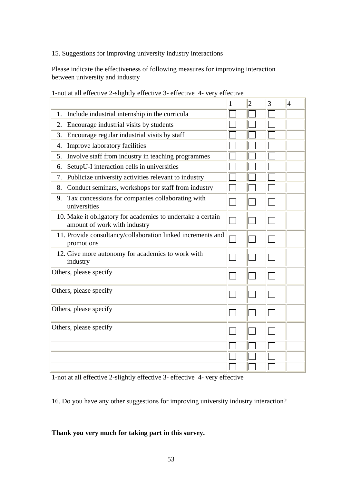### 15. Suggestions for improving university industry interactions

Please indicate the effectiveness of following measures for improving interaction between university and industry

|                                                                                             | 1 | $\overline{2}$ | $\vert 3 \vert$ | $\vert 4$ |
|---------------------------------------------------------------------------------------------|---|----------------|-----------------|-----------|
| Include industrial internship in the curricula<br>1.                                        |   |                |                 |           |
| Encourage industrial visits by students<br>2.                                               |   |                |                 |           |
| Encourage regular industrial visits by staff<br>3.                                          |   |                |                 |           |
| Improve laboratory facilities<br>4.                                                         |   |                |                 |           |
| Involve staff from industry in teaching programmes<br>5.                                    |   |                |                 |           |
| SetupU-I interaction cells in universities<br>6.                                            |   |                |                 |           |
| Publicize university activities relevant to industry<br>7.                                  |   |                |                 |           |
| Conduct seminars, workshops for staff from industry<br>8.                                   |   |                |                 |           |
| Tax concessions for companies collaborating with<br>9.<br>universities                      |   |                |                 |           |
| 10. Make it obligatory for academics to undertake a certain<br>amount of work with industry |   |                |                 |           |
| 11. Provide consultancy/collaboration linked increments and<br>promotions                   |   |                |                 |           |
| 12. Give more autonomy for academics to work with<br>industry                               |   |                |                 |           |
| Others, please specify                                                                      |   |                |                 |           |
| Others, please specify                                                                      |   |                |                 |           |
| Others, please specify                                                                      |   |                |                 |           |
| Others, please specify                                                                      |   |                |                 |           |
|                                                                                             |   |                |                 |           |
|                                                                                             |   |                |                 |           |
|                                                                                             |   |                |                 |           |

1-not at all effective 2-slightly effective 3- effective 4- very effective

1-not at all effective 2-slightly effective 3- effective 4- very effective

16. Do you have any other suggestions for improving university industry interaction?

## **Thank you very much for taking part in this survey.**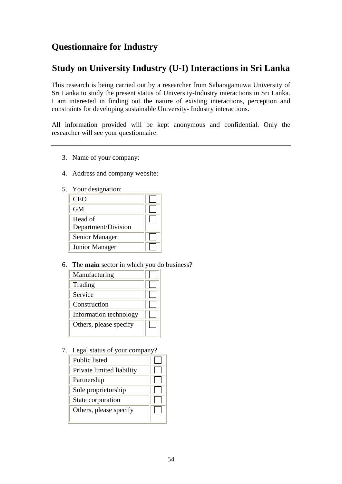# **Questionnaire for Industry**

# **Study on University Industry (U-I) Interactions in Sri Lanka**

This research is being carried out by a researcher from Sabaragamuwa University of Sri Lanka to study the present status of University-Industry interactions in Sri Lanka. I am interested in finding out the nature of existing interactions, perception and constraints for developing sustainable University- Industry interactions.

All information provided will be kept anonymous and confidential. Only the researcher will see your questionnaire.

- 3. Name of your company:
- 4. Address and company website:
- 5. Your designation:

| CEO                 |  |
|---------------------|--|
| GM                  |  |
| Head of             |  |
| Department/Division |  |
| Senior Manager      |  |
| Junior Manager      |  |

6. The **main** sector in which you do business?

| Manufacturing          |  |
|------------------------|--|
| Trading                |  |
| Service                |  |
| Construction           |  |
| Information technology |  |
| Others, please specify |  |
|                        |  |

7. Legal status of your company?

| Public listed             |  |
|---------------------------|--|
| Private limited liability |  |
| Partnership               |  |
| Sole proprietorship       |  |
| State corporation         |  |
| Others, please specify    |  |
|                           |  |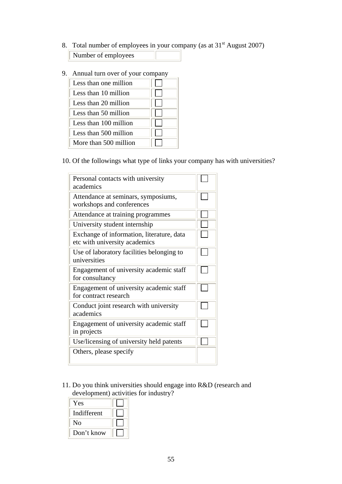8. Total number of employees in your company (as at  $31<sup>st</sup>$  August 2007)

| Number of employees |  |
|---------------------|--|
|                     |  |

9. Annual turn over of your company

| Less than one million |  |
|-----------------------|--|
| Less than 10 million  |  |
| Less than 20 million  |  |
| Less than 50 million  |  |
| Less than 100 million |  |
| Less than 500 million |  |
| More than 500 million |  |

10. Of the followings what type of links your company has with universities?

| Personal contacts with university<br>academics                             |  |
|----------------------------------------------------------------------------|--|
| Attendance at seminars, symposiums,<br>workshops and conferences           |  |
| Attendance at training programmes                                          |  |
| University student internship                                              |  |
| Exchange of information, literature, data<br>etc with university academics |  |
| Use of laboratory facilities belonging to<br>universities                  |  |
| Engagement of university academic staff<br>for consultancy                 |  |
| Engagement of university academic staff<br>for contract research           |  |
| Conduct joint research with university<br>academics                        |  |
| Engagement of university academic staff<br>in projects                     |  |
| Use/licensing of university held patents                                   |  |
| Others, please specify                                                     |  |

11. Do you think universities should engage into R&D (research and development) activities for industry?

| Yes            |  |
|----------------|--|
| Indifferent    |  |
| N <sub>0</sub> |  |
| Don't know     |  |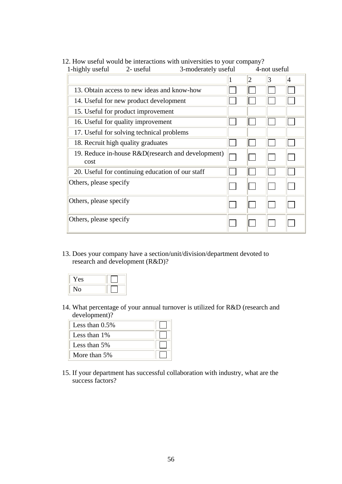| 2- useful<br>1-highly useful<br>3-moderately useful       |   | 4-not useful    |   |
|-----------------------------------------------------------|---|-----------------|---|
|                                                           | 2 | $\vert 3 \vert$ | 4 |
| 13. Obtain access to new ideas and know-how               |   |                 |   |
| 14. Useful for new product development                    |   |                 |   |
| 15. Useful for product improvement                        |   |                 |   |
| 16. Useful for quality improvement                        |   |                 |   |
| 17. Useful for solving technical problems                 |   |                 |   |
| 18. Recruit high quality graduates                        |   |                 |   |
| 19. Reduce in-house R&D(research and development)<br>cost |   |                 |   |
| 20. Useful for continuing education of our staff          |   |                 |   |
| Others, please specify                                    |   |                 |   |
| Others, please specify                                    |   |                 |   |
| Others, please specify                                    |   |                 |   |

12. How useful would be interactions with universities to your company?

13. Does your company have a section/unit/division/department devoted to research and development (R&D)?

| Yes |  |
|-----|--|
| N٥  |  |

14. What percentage of your annual turnover is utilized for R&D (research and development)?

| Less than $0.5\%$ |  |
|-------------------|--|
| Less than 1\%     |  |
| Less than 5%      |  |
| More than 5%      |  |

15. If your department has successful collaboration with industry, what are the success factors?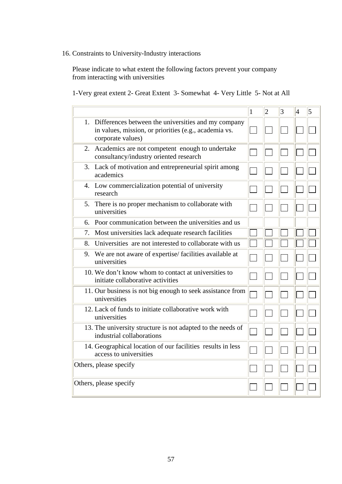## 16. Constraints to University-Industry interactions

Please indicate to what extent the following factors prevent your company from interacting with universities

1-Very great extent 2- Great Extent 3- Somewhat 4- Very Little 5- Not at All

|                                                                                                                                      | $\mathbf{1}$ | $ 2\rangle$ | 3 | $\vert 4$ | 5 |
|--------------------------------------------------------------------------------------------------------------------------------------|--------------|-------------|---|-----------|---|
| 1. Differences between the universities and my company<br>in values, mission, or priorities (e.g., academia vs.<br>corporate values) |              |             |   |           |   |
| 2. Academics are not competent enough to undertake<br>consultancy/industry oriented research                                         |              |             |   |           |   |
| Lack of motivation and entrepreneurial spirit among<br>3.<br>academics                                                               |              |             |   |           |   |
| 4. Low commercialization potential of university<br>research                                                                         |              |             |   |           |   |
| 5. There is no proper mechanism to collaborate with<br>universities                                                                  |              |             |   |           |   |
| 6. Poor communication between the universities and us                                                                                |              |             |   |           |   |
| Most universities lack adequate research facilities<br>7.                                                                            |              |             |   |           |   |
| 8. Universities are not interested to collaborate with us                                                                            |              |             |   |           |   |
| We are not aware of expertise/facilities available at<br>9.<br>universities                                                          |              |             |   |           |   |
| 10. We don't know whom to contact at universities to<br>initiate collaborative activities                                            |              |             |   |           |   |
| 11. Our business is not big enough to seek assistance from<br>universities                                                           |              |             |   |           |   |
| 12. Lack of funds to initiate collaborative work with<br>universities                                                                |              |             |   |           |   |
| 13. The university structure is not adapted to the needs of<br>industrial collaborations                                             |              |             |   |           |   |
| 14. Geographical location of our facilities results in less<br>access to universities                                                |              |             |   |           |   |
| Others, please specify                                                                                                               |              |             |   |           |   |
| Others, please specify                                                                                                               |              |             |   |           |   |